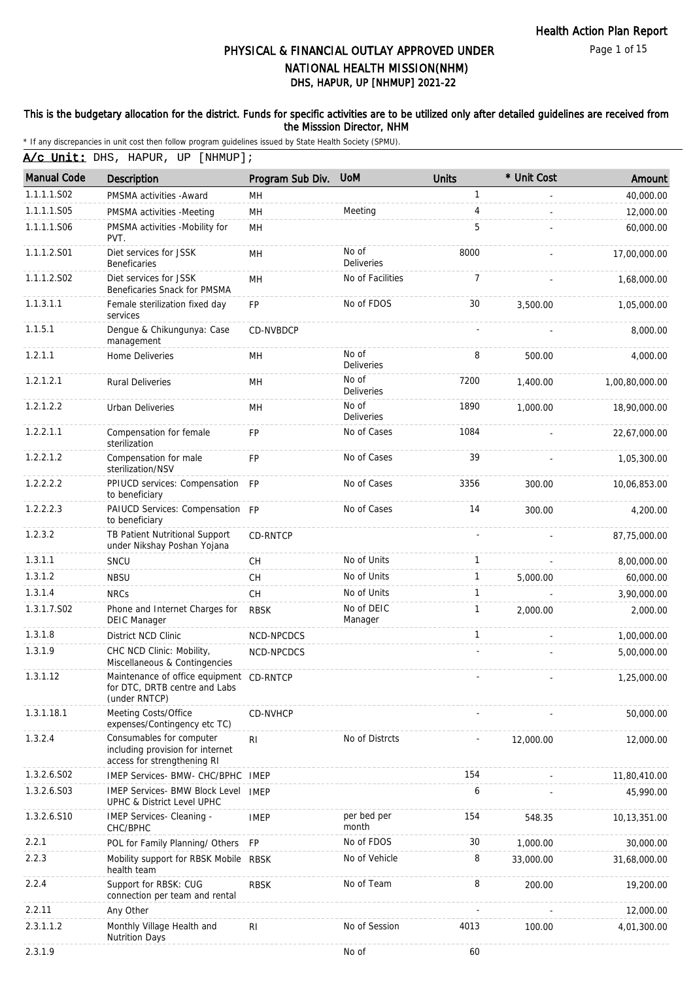Page 1 of 15

# DHS, HAPUR, UP [NHMUP] 2021-22 PHYSICAL & FINANCIAL OUTLAY APPROVED UNDER NATIONAL HEALTH MISSION(NHM)

#### This is the budgetary allocation for the district. Funds for specific activities are to be utilized only after detailed guidelines are received from the Misssion Director, NHM

|  |  | A/c Unit: DHS, HAPUR, UP [NHMUP]; |
|--|--|-----------------------------------|
|  |  |                                   |

| <b>Manual Code</b> | Description                                                                                 | Program Sub Div. | <b>UoM</b>                 | <b>Units</b> | * Unit Cost | Amount         |
|--------------------|---------------------------------------------------------------------------------------------|------------------|----------------------------|--------------|-------------|----------------|
| 1.1.1.1.S02        | PMSMA activities - Award                                                                    | MH               |                            | $\mathbf{1}$ |             | 40,000.00      |
| 1.1.1.1.S05        | PMSMA activities -Meeting                                                                   | MH               | Meeting                    | 4            |             | 12,000.00      |
| 1.1.1.1.S06        | PMSMA activities -Mobility for<br>PVT.                                                      | MH               |                            | 5            |             | 60,000.00      |
| 1.1.1.2.S01        | Diet services for JSSK<br><b>Beneficaries</b>                                               | MH               | No of<br><b>Deliveries</b> | 8000         |             | 17,00,000.00   |
| 1.1.1.2.S02        | Diet services for JSSK<br>Beneficaries Snack for PMSMA                                      | MH               | No of Facilities           | 7            |             | 1,68,000.00    |
| 1.1.3.1.1          | Female sterilization fixed day<br>services                                                  | FP               | No of FDOS                 | 30           | 3,500.00    | 1,05,000.00    |
| 1.1.5.1            | Dengue & Chikungunya: Case<br>management                                                    | CD-NVBDCP        |                            |              |             | 8,000.00       |
| 1.2.1.1            | Home Deliveries                                                                             | <b>MH</b>        | No of<br><b>Deliveries</b> | 8            | 500.00      | 4,000.00       |
| 1.2.1.2.1          | <b>Rural Deliveries</b>                                                                     | MН               | No of<br>Deliveries        | 7200         | 1,400.00    | 1,00,80,000.00 |
| 1.2.1.2.2          | <b>Urban Deliveries</b>                                                                     | MH               | No of<br>Deliveries        | 1890         | 1,000.00    | 18,90,000.00   |
| 1.2.2.1.1          | Compensation for female<br>sterilization                                                    | <b>FP</b>        | No of Cases                | 1084         |             | 22,67,000.00   |
| 1.2.2.1.2          | Compensation for male<br>sterilization/NSV                                                  | <b>FP</b>        | No of Cases                | 39           |             | 1,05,300.00    |
| 1.2.2.2.2          | PPIUCD services: Compensation FP<br>to beneficiary                                          |                  | No of Cases                | 3356         | 300.00      | 10,06,853.00   |
| 1.2.2.2.3          | PAIUCD Services: Compensation FP<br>to beneficiary                                          |                  | No of Cases                | 14           | 300.00      | 4,200.00       |
| 1.2.3.2            | TB Patient Nutritional Support<br>under Nikshay Poshan Yojana                               | CD-RNTCP         |                            |              |             | 87,75,000.00   |
| 1.3.1.1            | SNCU                                                                                        | CH               | No of Units                | 1            |             | 8,00,000.00    |
| 1.3.1.2            | <b>NBSU</b>                                                                                 | CH               | No of Units                | 1            | 5,000.00    | 60,000.00      |
| 1.3.1.4            | <b>NRCs</b>                                                                                 | CH               | No of Units                | 1            |             | 3,90,000.00    |
| 1.3.1.7.S02        | Phone and Internet Charges for<br><b>DEIC Manager</b>                                       | <b>RBSK</b>      | No of DEIC<br>Manager      | 1            | 2,000.00    | 2,000.00       |
| 1.3.1.8            | District NCD Clinic                                                                         | NCD-NPCDCS       |                            | 1            |             | 1,00,000.00    |
| 1.3.1.9            | CHC NCD Clinic: Mobility,<br>Miscellaneous & Contingencies                                  | NCD-NPCDCS       |                            |              |             | 5,00,000.00    |
| 1.3.1.12           | Maintenance of office equipment CD-RNTCP<br>for DTC, DRTB centre and Labs<br>(under RNTCP)  |                  |                            |              |             | 1,25,000.00    |
| 1.3.1.18.1         | Meeting Costs/Office<br>expenses/Contingency etc TC)                                        | CD-NVHCP         |                            |              |             | 50,000.00      |
| 1.3.2.4            | Consumables for computer<br>including provision for internet<br>access for strengthening RI | R <sub>1</sub>   | No of Distrcts             |              | 12,000.00   | 12,000.00      |
| 1.3.2.6.S02        | IMEP Services- BMW- CHC/BPHC                                                                | IMEP             |                            | 154          |             | 11,80,410.00   |
| 1.3.2.6.S03        | <b>IMEP Services- BMW Block Level</b><br>UPHC & District Level UPHC                         | <b>IMEP</b>      |                            | 6            |             | 45,990.00      |
| 1.3.2.6.S10        | IMEP Services- Cleaning -<br>CHC/BPHC                                                       | <b>IMEP</b>      | per bed per<br>month       | 154          | 548.35      | 10,13,351.00   |
| 2.2.1              | POL for Family Planning/ Others                                                             | <b>FP</b>        | No of FDOS                 | 30           | 1,000.00    | 30,000.00      |
| 2.2.3              | Mobility support for RBSK Mobile RBSK<br>health team                                        |                  | No of Vehicle              | 8            | 33,000.00   | 31,68,000.00   |
| 2.2.4              | Support for RBSK: CUG<br>connection per team and rental                                     | <b>RBSK</b>      | No of Team                 | 8            | 200.00      | 19,200.00      |
| 2.2.11             | Any Other                                                                                   |                  |                            |              |             | 12,000.00      |
| 2.3.1.1.2          | Monthly Village Health and<br><b>Nutrition Days</b>                                         | R <sub>1</sub>   | No of Session              | 4013         | 100.00      | 4,01,300.00    |
| 2.3.1.9            |                                                                                             |                  | No of                      | 60           |             |                |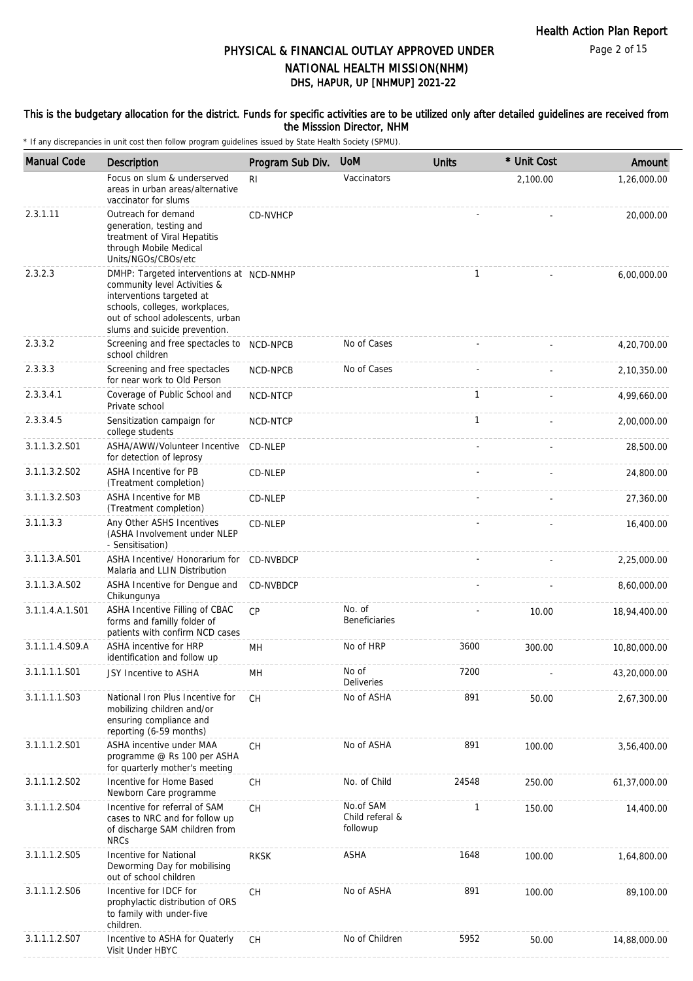Page 2 of 15

### DHS, HAPUR, UP [NHMUP] 2021-22 PHYSICAL & FINANCIAL OUTLAY APPROVED UNDER NATIONAL HEALTH MISSION(NHM)

#### This is the budgetary allocation for the district. Funds for specific activities are to be utilized only after detailed guidelines are received from the Misssion Director, NHM

| <b>Manual Code</b> | Description                                                                                                                                                                                                  | Program Sub Div. | <b>UoM</b>                               | <b>Units</b> | * Unit Cost | Amount       |
|--------------------|--------------------------------------------------------------------------------------------------------------------------------------------------------------------------------------------------------------|------------------|------------------------------------------|--------------|-------------|--------------|
|                    | Focus on slum & underserved<br>areas in urban areas/alternative<br>vaccinator for slums                                                                                                                      | R <sub>l</sub>   | Vaccinators                              |              | 2,100.00    | 1,26,000.00  |
| 2.3.1.11           | Outreach for demand<br>generation, testing and<br>treatment of Viral Hepatitis<br>through Mobile Medical<br>Units/NGOs/CBOs/etc                                                                              | CD-NVHCP         |                                          |              |             | 20,000.00    |
| 2.3.2.3            | DMHP: Targeted interventions at NCD-NMHP<br>community level Activities &<br>interventions targeted at<br>schools, colleges, workplaces,<br>out of school adolescents, urban<br>slums and suicide prevention. |                  |                                          | $\mathbf{1}$ |             | 6,00,000.00  |
| 2.3.3.2            | Screening and free spectacles to<br>school children                                                                                                                                                          | NCD-NPCB         | No of Cases                              |              |             | 4,20,700.00  |
| 2.3.3.3            | Screening and free spectacles<br>for near work to Old Person                                                                                                                                                 | <b>NCD-NPCB</b>  | No of Cases                              |              |             | 2,10,350.00  |
| 2.3.3.4.1          | Coverage of Public School and<br>Private school                                                                                                                                                              | NCD-NTCP         |                                          | $\mathbf{1}$ |             | 4,99,660.00  |
| 2.3.3.4.5          | Sensitization campaign for<br>college students                                                                                                                                                               | NCD-NTCP         |                                          | $\mathbf{1}$ |             | 2,00,000.00  |
| 3.1.1.3.2.S01      | ASHA/AWW/Volunteer Incentive<br>for detection of leprosy                                                                                                                                                     | CD-NLEP          |                                          |              |             | 28,500.00    |
| 3.1.1.3.2.S02      | <b>ASHA Incentive for PB</b><br>(Treatment completion)                                                                                                                                                       | CD-NLEP          |                                          |              |             | 24,800.00    |
| 3.1.1.3.2.S03      | ASHA Incentive for MB<br>(Treatment completion)                                                                                                                                                              | CD-NLEP          |                                          |              |             | 27,360.00    |
| 3.1.1.3.3          | Any Other ASHS Incentives<br>(ASHA Involvement under NLEP<br>- Sensitisation)                                                                                                                                | CD-NLEP          |                                          |              |             | 16,400.00    |
| 3.1.1.3.A.S01      | ASHA Incentive/ Honorarium for<br>Malaria and LLIN Distribution                                                                                                                                              | CD-NVBDCP        |                                          |              |             | 2,25,000.00  |
| 3.1.1.3.A.S02      | ASHA Incentive for Dengue and<br>Chikungunya                                                                                                                                                                 | CD-NVBDCP        |                                          |              |             | 8,60,000.00  |
| 3.1.1.4.A.1.S01    | ASHA Incentive Filling of CBAC<br>forms and familly folder of<br>patients with confirm NCD cases                                                                                                             | CP               | No. of<br><b>Beneficiaries</b>           |              | 10.00       | 18,94,400.00 |
| 3.1.1.1.4.S09.A    | ASHA incentive for HRP<br>identification and follow up                                                                                                                                                       | MH               | No of HRP                                | 3600         | 300.00      | 10,80,000.00 |
| 3.1.1.1.1.S01      | JSY Incentive to ASHA                                                                                                                                                                                        | MН               | No of<br>Deliveries                      | 7200         |             | 43,20,000.00 |
| 3.1.1.1.1.S03      | National Iron Plus Incentive for<br>mobilizing children and/or<br>ensuring compliance and<br>reporting (6-59 months)                                                                                         | <b>CH</b>        | No of ASHA                               | 891          | 50.00       | 2,67,300.00  |
| 3.1.1.1.2.S01      | ASHA incentive under MAA<br>programme @ Rs 100 per ASHA<br>for quarterly mother's meeting                                                                                                                    | <b>CH</b>        | No of ASHA                               | 891          | 100.00      | 3,56,400.00  |
| 3.1.1.1.2.S02      | Incentive for Home Based<br>Newborn Care programme                                                                                                                                                           | CH               | No. of Child                             | 24548        | 250.00      | 61,37,000.00 |
| 3.1.1.1.2.S04      | Incentive for referral of SAM<br>cases to NRC and for follow up<br>of discharge SAM children from<br><b>NRCs</b>                                                                                             | СH               | No.of SAM<br>Child referal &<br>followup | 1            | 150.00      | 14,400.00    |
| 3.1.1.1.2.S05      | Incentive for National<br>Deworming Day for mobilising<br>out of school children                                                                                                                             | <b>RKSK</b>      | ASHA                                     | 1648         | 100.00      | 1,64,800.00  |
| 3.1.1.1.2.S06      | Incentive for IDCF for<br>prophylactic distribution of ORS<br>to family with under-five<br>children.                                                                                                         | СH               | No of ASHA                               | 891          | 100.00      | 89,100.00    |
| 3.1.1.1.2.S07      | Incentive to ASHA for Quaterly<br>Visit Under HBYC                                                                                                                                                           | СH               | No of Children                           | 5952         | 50.00       | 14,88,000.00 |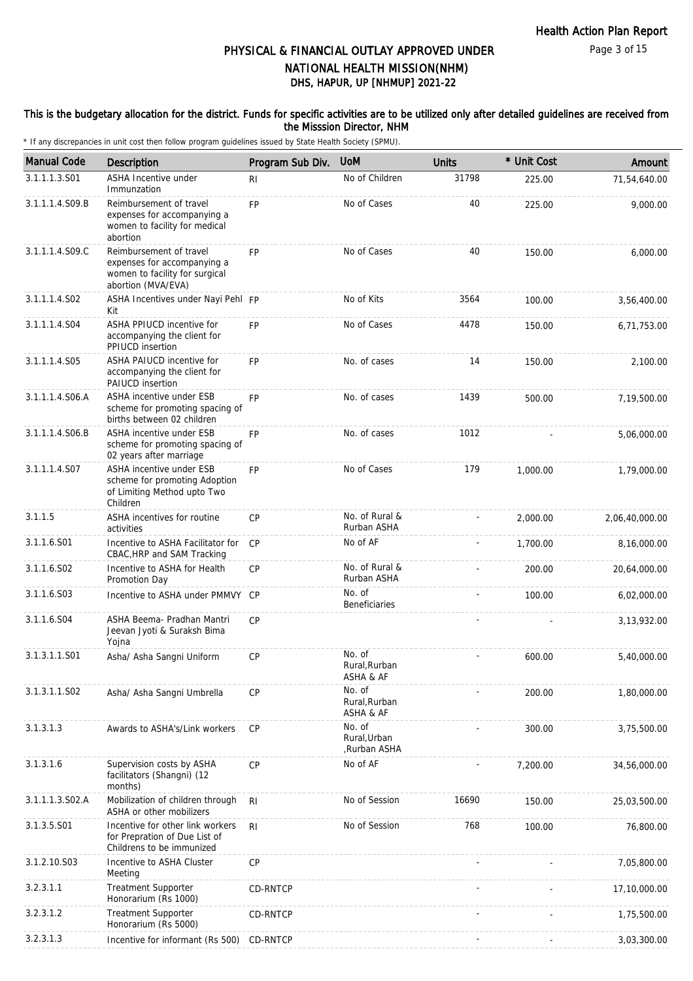#### This is the budgetary allocation for the district. Funds for specific activities are to be utilized only after detailed guidelines are received from the Misssion Director, NHM

| <b>Manual Code</b> | Description                                                                                                    | Program Sub Div. | <b>UoM</b>                             | <b>Units</b> | * Unit Cost | Amount         |
|--------------------|----------------------------------------------------------------------------------------------------------------|------------------|----------------------------------------|--------------|-------------|----------------|
| 3.1.1.1.3.S01      | ASHA Incentive under<br>Immunzation                                                                            | R <sub>l</sub>   | No of Children                         | 31798        | 225.00      | 71,54,640.00   |
| 3.1.1.1.4.S09.B    | Reimbursement of travel<br>expenses for accompanying a<br>women to facility for medical<br>abortion            | <b>FP</b>        | No of Cases                            | 40           | 225.00      | 9,000.00       |
| 3.1.1.1.4.S09.C    | Reimbursement of travel<br>expenses for accompanying a<br>women to facility for surgical<br>abortion (MVA/EVA) | <b>FP</b>        | No of Cases                            | 40           | 150.00      | 6,000.00       |
| 3.1.1.1.4.S02      | ASHA Incentives under Nayi Pehl FP<br>Kit                                                                      |                  | No of Kits                             | 3564         | 100.00      | 3,56,400.00    |
| 3.1.1.1.4.S04      | ASHA PPIUCD incentive for<br>accompanying the client for<br>PPIUCD insertion                                   | <b>FP</b>        | No of Cases                            | 4478         | 150.00      | 6,71,753.00    |
| 3.1.1.1.4.S05      | ASHA PAIUCD incentive for<br>accompanying the client for<br>PAIUCD insertion                                   | <b>FP</b>        | No. of cases                           | 14           | 150.00      | 2,100.00       |
| 3.1.1.1.4.S06.A    | ASHA incentive under ESB<br>scheme for promoting spacing of<br>births between 02 children                      | <b>FP</b>        | No. of cases                           | 1439         | 500.00      | 7,19,500.00    |
| 3.1.1.1.4.S06.B    | ASHA incentive under ESB<br>scheme for promoting spacing of<br>02 years after marriage                         | <b>FP</b>        | No. of cases                           | 1012         |             | 5,06,000.00    |
| 3.1.1.1.4.S07      | ASHA incentive under ESB<br>scheme for promoting Adoption<br>of Limiting Method upto Two<br>Children           | <b>FP</b>        | No of Cases                            | 179          | 1,000.00    | 1,79,000.00    |
| 3.1.1.5            | ASHA incentives for routine<br>activities                                                                      | CP               | No. of Rural &<br>Rurban ASHA          |              | 2,000.00    | 2,06,40,000.00 |
| 3.1.1.6.S01        | Incentive to ASHA Facilitator for<br>CBAC, HRP and SAM Tracking                                                | <b>CP</b>        | No of AF                               |              | 1,700.00    | 8,16,000.00    |
| 3.1.1.6.S02        | Incentive to ASHA for Health<br>Promotion Day                                                                  | CP               | No. of Rural &<br>Rurban ASHA          |              | 200.00      | 20,64,000.00   |
| 3.1.1.6.S03        | Incentive to ASHA under PMMVY CP                                                                               |                  | No. of<br><b>Beneficiaries</b>         |              | 100.00      | 6,02,000.00    |
| 3.1.1.6.S04        | ASHA Beema- Pradhan Mantri<br>Jeevan Jyoti & Suraksh Bima<br>Yojna                                             | CP               |                                        |              |             | 3, 13, 932.00  |
| 3.1.3.1.1.S01      | Asha/ Asha Sangni Uniform                                                                                      | CP               | No. of<br>Rural.Rurban<br>ASHA & AF    |              | 600.00      | 5,40,000.00    |
| 3.1.3.1.1.S02      | Asha/ Asha Sangni Umbrella                                                                                     | <b>CP</b>        | No. of<br>Rural, Rurban<br>ASHA & AF   |              | 200.00      | 1,80,000.00    |
| 3.1.3.1.3          | Awards to ASHA's/Link workers                                                                                  | CP               | No. of<br>Rural, Urban<br>Rurban ASHA, |              | 300.00      | 3,75,500.00    |
| 3.1.3.1.6          | Supervision costs by ASHA<br>facilitators (Shangni) (12<br>months)                                             | CP               | No of AF                               |              | 7,200.00    | 34,56,000.00   |
| 3.1.1.1.3.S02.A    | Mobilization of children through<br>ASHA or other mobilizers                                                   | R <sub>l</sub>   | No of Session                          | 16690        | 150.00      | 25,03,500.00   |
| 3.1.3.5.S01        | Incentive for other link workers<br>for Prepration of Due List of<br>Childrens to be immunized                 | R <sub>l</sub>   | No of Session                          | 768          | 100.00      | 76,800.00      |
| 3.1.2.10.S03       | Incentive to ASHA Cluster<br>Meeting                                                                           | CP               |                                        |              |             | 7,05,800.00    |
| 3.2.3.1.1          | <b>Treatment Supporter</b><br>Honorarium (Rs 1000)                                                             | CD-RNTCP         |                                        |              |             | 17,10,000.00   |
| 3.2.3.1.2          | <b>Treatment Supporter</b><br>Honorarium (Rs 5000)                                                             | CD-RNTCP         |                                        |              |             | 1,75,500.00    |
| 3.2.3.1.3          | Incentive for informant (Rs 500)                                                                               | CD-RNTCP         |                                        |              |             | 3,03,300.00    |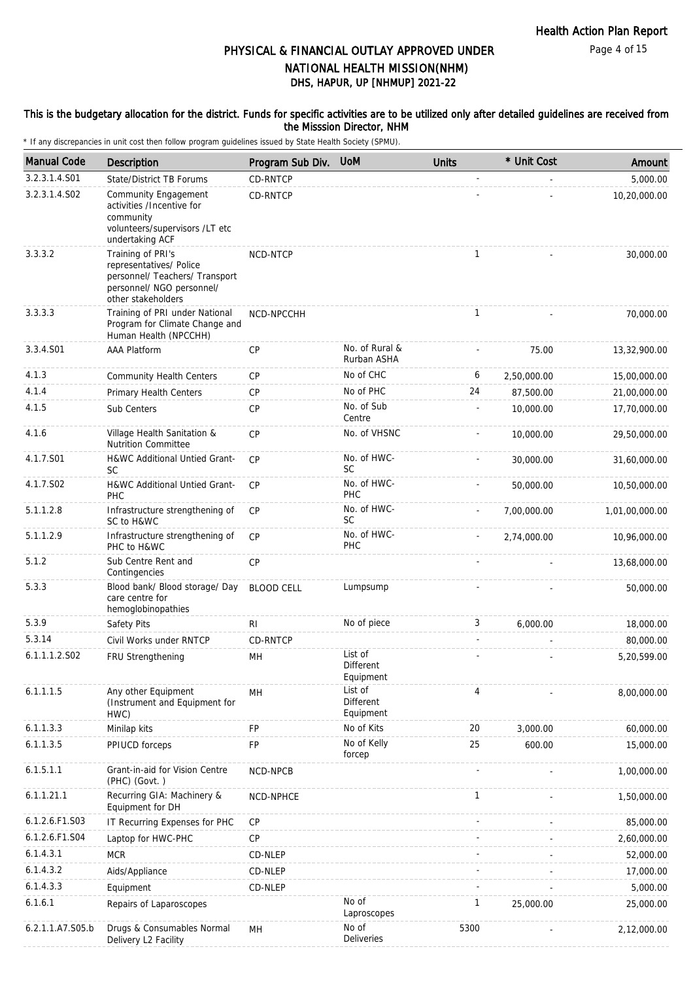#### This is the budgetary allocation for the district. Funds for specific activities are to be utilized only after detailed guidelines are received from the Misssion Director, NHM

| <b>Manual Code</b> | Description                                                                                                                       | Program Sub Div.  | <b>UoM</b>                        | <b>Units</b> | * Unit Cost | Amount         |
|--------------------|-----------------------------------------------------------------------------------------------------------------------------------|-------------------|-----------------------------------|--------------|-------------|----------------|
| 3.2.3.1.4.S01      | State/District TB Forums                                                                                                          | CD-RNTCP          |                                   |              |             | 5,000.00       |
| 3.2.3.1.4.S02      | Community Engagement<br>activities /Incentive for<br>community<br>volunteers/supervisors /LT etc<br>undertaking ACF               | CD-RNTCP          |                                   |              |             | 10,20,000.00   |
| 3.3.3.2            | Training of PRI's<br>representatives/ Police<br>personnel/ Teachers/ Transport<br>personnel/ NGO personnel/<br>other stakeholders | NCD-NTCP          |                                   | $\mathbf{1}$ |             | 30,000.00      |
| 3.3.3.3            | Training of PRI under National<br>Program for Climate Change and<br>Human Health (NPCCHH)                                         | NCD-NPCCHH        |                                   | 1            |             | 70,000.00      |
| 3.3.4.S01          | <b>AAA Platform</b>                                                                                                               | <b>CP</b>         | No. of Rural &<br>Rurban ASHA     |              | 75.00       | 13,32,900.00   |
| 4.1.3              | <b>Community Health Centers</b>                                                                                                   | CP                | No of CHC                         | 6            | 2,50,000.00 | 15,00,000.00   |
| 4.1.4              | Primary Health Centers                                                                                                            | <b>CP</b>         | No of PHC                         | 24           | 87.500.00   | 21,00,000.00   |
| 4.1.5              | Sub Centers                                                                                                                       | <b>CP</b>         | No. of Sub<br>Centre              |              | 10,000.00   | 17,70,000.00   |
| 4.1.6              | Village Health Sanitation &<br><b>Nutrition Committee</b>                                                                         | CP                | No. of VHSNC                      |              | 10,000.00   | 29,50,000.00   |
| 4.1.7.S01          | H&WC Additional Untied Grant-<br><b>SC</b>                                                                                        | CP                | No. of HWC-<br><b>SC</b>          |              | 30,000.00   | 31,60,000.00   |
| 4.1.7.S02          | H&WC Additional Untied Grant-<br>PHC                                                                                              | CP                | No. of HWC-<br>PHC                |              | 50,000.00   | 10,50,000.00   |
| 5.1.1.2.8          | Infrastructure strengthening of<br>SC to H&WC                                                                                     | <b>CP</b>         | No. of HWC-<br><b>SC</b>          |              | 7,00,000.00 | 1,01,00,000.00 |
| 5.1.1.2.9          | Infrastructure strengthening of<br>PHC to H&WC                                                                                    | <b>CP</b>         | No. of HWC-<br>PHC                |              | 2,74,000.00 | 10,96,000.00   |
| 5.1.2              | Sub Centre Rent and<br>Contingencies                                                                                              | CP                |                                   |              |             | 13,68,000.00   |
| 5.3.3              | Blood bank/ Blood storage/ Day<br>care centre for<br>hemoglobinopathies                                                           | <b>BLOOD CELL</b> | Lumpsump                          |              |             | 50,000.00      |
| 5.3.9              | Safety Pits                                                                                                                       | R <sub>l</sub>    | No of piece                       | 3            | 6,000.00    | 18,000.00      |
| 5.3.14             | Civil Works under RNTCP                                                                                                           | CD-RNTCP          |                                   |              |             | 80,000.00      |
| 6.1.1.1.2.S02      | FRU Strengthening                                                                                                                 | MН                | List of<br>Different<br>Equipment |              |             | 5,20,599.00    |
| 6.1.1.1.5          | Any other Equipment<br>(Instrument and Equipment for<br>HWC)                                                                      | MH                | List of<br>Different<br>Equipment | 4            |             | 8,00,000.00    |
| 6.1.1.3.3          | Minilap kits                                                                                                                      | FP                | No of Kits                        | 20           | 3,000.00    | 60,000.00      |
| 6.1.1.3.5          | PPIUCD forceps                                                                                                                    | FP                | No of Kelly<br>forcep             | 25           | 600.00      | 15,000.00      |
| 6.1.5.1.1          | Grant-in-aid for Vision Centre<br>(PHC) (Govt.)                                                                                   | NCD-NPCB          |                                   |              |             | 1,00,000.00    |
| 6.1.1.21.1         | Recurring GIA: Machinery &<br>Equipment for DH                                                                                    | NCD-NPHCE         |                                   | 1            |             | 1,50,000.00    |
| 6.1.2.6.F1.S03     | IT Recurring Expenses for PHC                                                                                                     | CP                |                                   |              |             | 85,000.00      |
| 6.1.2.6.F1.S04     | Laptop for HWC-PHC                                                                                                                | <b>CP</b>         |                                   |              |             | 2,60,000.00    |
| 6.1.4.3.1          | <b>MCR</b>                                                                                                                        | CD-NLEP           |                                   |              |             | 52,000.00      |
| 6.1.4.3.2          | Aids/Appliance                                                                                                                    | CD-NLEP           |                                   |              |             | 17,000.00      |
| 6.1.4.3.3          | Equipment                                                                                                                         | CD-NLEP           |                                   |              |             | 5,000.00       |
| 6.1.6.1            | Repairs of Laparoscopes                                                                                                           |                   | No of<br>Laproscopes              | 1            | 25,000.00   | 25,000.00      |
| 6.2.1.1.A7.S05.b   | Drugs & Consumables Normal<br>Delivery L2 Facility                                                                                | MН                | No of<br>Deliveries               | 5300         |             | 2,12,000.00    |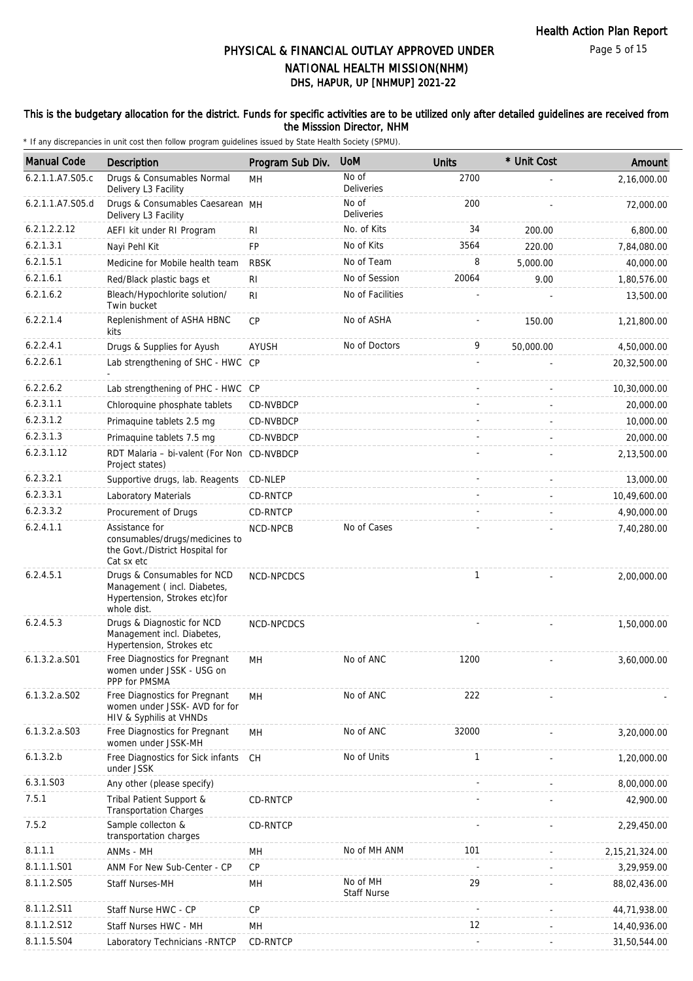#### This is the budgetary allocation for the district. Funds for specific activities are to be utilized only after detailed guidelines are received from the Misssion Director, NHM

| <b>Manual Code</b> | <b>Description</b>                                                                                         | Program Sub Div. | <b>UoM</b>                     | <b>Units</b>             | * Unit Cost | Amount            |
|--------------------|------------------------------------------------------------------------------------------------------------|------------------|--------------------------------|--------------------------|-------------|-------------------|
| 6.2.1.1.A7.S05.c   | Drugs & Consumables Normal                                                                                 | MH               | No of                          | 2700                     |             | 2,16,000.00       |
| 6.2.1.1.A7.S05.d   | Delivery L3 Facility<br>Drugs & Consumables Caesarean MH                                                   |                  | <b>Deliveries</b><br>No of     | 200                      |             | 72,000.00         |
|                    | Delivery L3 Facility                                                                                       |                  | <b>Deliveries</b>              |                          |             |                   |
| 6.2.1.2.2.12       | AEFI kit under RI Program                                                                                  | RI               | No. of Kits                    | 34                       | 200.00      | 6,800.00          |
| 6.2.1.3.1          | Nayi Pehl Kit                                                                                              | <b>FP</b>        | No of Kits                     | 3564                     | 220.00      | 7,84,080.00       |
| 6.2.1.5.1          | Medicine for Mobile health team                                                                            | <b>RBSK</b>      | No of Team                     | 8                        | 5,000.00    | 40,000.00         |
| 6.2.1.6.1          | Red/Black plastic bags et                                                                                  | RI               | No of Session                  | 20064                    | 9.00        | 1,80,576.00       |
| 6.2.1.6.2          | Bleach/Hypochlorite solution/<br>Twin bucket                                                               | R <sub>1</sub>   | No of Facilities               |                          |             | 13,500.00         |
| 6.2.2.1.4          | Replenishment of ASHA HBNC<br>kits                                                                         | <b>CP</b>        | No of ASHA                     |                          | 150.00      | 1,21,800.00       |
| 6.2.2.4.1          | Drugs & Supplies for Ayush                                                                                 | <b>AYUSH</b>     | No of Doctors                  | 9                        | 50,000.00   | 4,50,000.00       |
| 6.2.2.6.1          | Lab strengthening of SHC - HWC CP                                                                          |                  |                                |                          |             | 20,32,500.00      |
| 6.2.2.6.2          | Lab strengthening of PHC - HWC CP                                                                          |                  |                                |                          |             | 10,30,000.00      |
| 6.2.3.1.1          | Chloroquine phosphate tablets                                                                              | CD-NVBDCP        |                                |                          |             | 20,000.00         |
| 6.2.3.1.2          | Primaquine tablets 2.5 mg                                                                                  | CD-NVBDCP        |                                |                          |             | 10,000.00         |
| 6.2.3.1.3          | Primaquine tablets 7.5 mg                                                                                  | CD-NVBDCP        |                                |                          |             | 20,000.00         |
| 6.2.3.1.12         | RDT Malaria - bi-valent (For Non<br>Project states)                                                        | CD-NVBDCP        |                                |                          |             | 2,13,500.00       |
| 6.2.3.2.1          | Supportive drugs, lab. Reagents                                                                            | CD-NLEP          |                                |                          |             | 13,000.00         |
| 6.2.3.3.1          | Laboratory Materials                                                                                       | CD-RNTCP         |                                |                          |             | 10,49,600.00      |
| 6.2.3.3.2          | Procurement of Drugs                                                                                       | CD-RNTCP         |                                |                          |             | 4,90,000.00       |
| 6.2.4.1.1          | Assistance for<br>consumables/drugs/medicines to<br>the Govt./District Hospital for<br>Cat sx etc          | NCD-NPCB         | No of Cases                    |                          |             | 7,40,280.00       |
| 6.2.4.5.1          | Drugs & Consumables for NCD<br>Management (incl. Diabetes,<br>Hypertension, Strokes etc)for<br>whole dist. | NCD-NPCDCS       |                                | $\mathbf{1}$             |             | 2,00,000.00       |
| 6.2.4.5.3          | Drugs & Diagnostic for NCD<br>Management incl. Diabetes,<br>Hypertension, Strokes etc                      | NCD-NPCDCS       |                                |                          |             | 1,50,000.00       |
| $6.1.3.2.a.$ S01   | Free Diagnostics for Pregnant<br>women under JSSK - USG on<br>PPP for PMSMA                                | MН               | No of ANC                      | 1200                     |             | 3,60,000.00       |
| $6.1.3.2.a.$ SO2   | Free Diagnostics for Pregnant<br>women under JSSK- AVD for for<br>HIV & Syphilis at VHNDs                  | MH               | No of ANC                      | 222                      |             |                   |
| 6.1.3.2.a.S03      | Free Diagnostics for Pregnant<br>women under JSSK-MH                                                       | MH               | No of ANC                      | 32000                    |             | 3,20,000.00       |
| 6.1.3.2.b          | Free Diagnostics for Sick infants<br>under JSSK                                                            | <b>CH</b>        | No of Units                    | $\mathbf{1}$             |             | 1,20,000.00       |
| 6.3.1.S03          | Any other (please specify)                                                                                 |                  |                                |                          |             | 8,00,000.00       |
| 7.5.1              | Tribal Patient Support &<br><b>Transportation Charges</b>                                                  | CD-RNTCP         |                                |                          |             | 42,900.00         |
| 7.5.2              | Sample collecton &<br>transportation charges                                                               | CD-RNTCP         |                                |                          |             | 2,29,450.00       |
| 8.1.1.1            | ANMs - MH                                                                                                  | MH               | No of MH ANM                   | 101                      |             | 2, 15, 21, 324.00 |
| 8.1.1.1.S01        | ANM For New Sub-Center - CP                                                                                | CP               |                                | $\overline{\phantom{a}}$ |             | 3,29,959.00       |
| 8.1.1.2.S05        | <b>Staff Nurses-MH</b>                                                                                     | MН               | No of MH<br><b>Staff Nurse</b> | 29                       |             | 88,02,436.00      |
| 8.1.1.2.S11        | Staff Nurse HWC - CP                                                                                       | CP               |                                | ÷,                       |             | 44,71,938.00      |
| 8.1.1.2.S12        | Staff Nurses HWC - MH                                                                                      | MН               |                                | 12                       |             | 14,40,936.00      |
| 8.1.1.5.S04        | Laboratory Technicians - RNTCP                                                                             | CD-RNTCP         |                                |                          |             | 31,50,544.00      |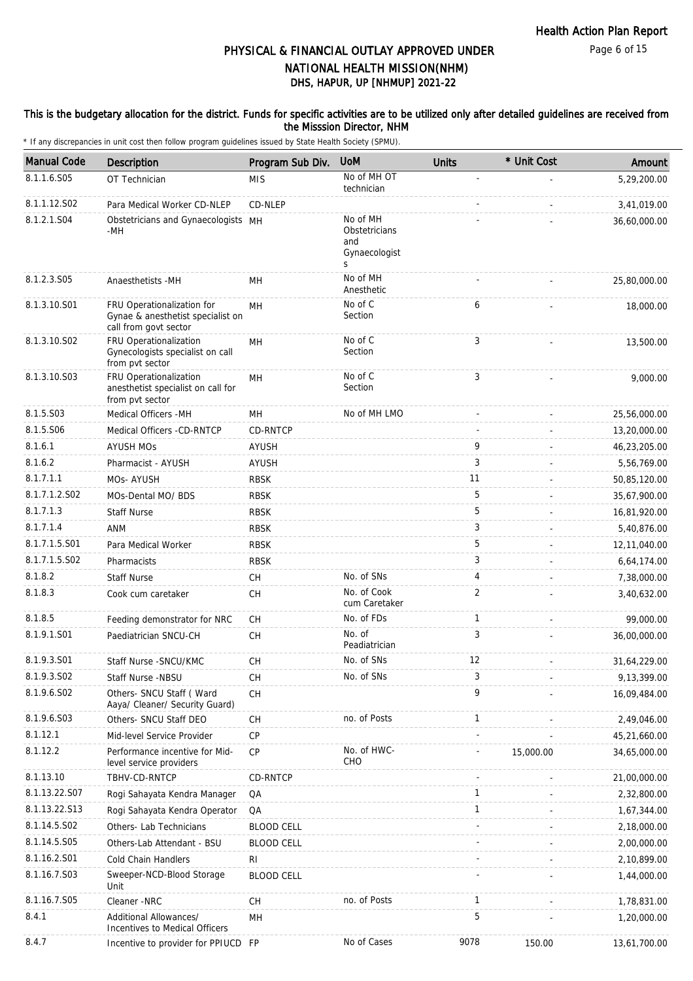#### This is the budgetary allocation for the district. Funds for specific activities are to be utilized only after detailed guidelines are received from the Misssion Director, NHM

| <b>Manual Code</b> | Description                                                                              | Program Sub Div.  | <b>UoM</b>                                             | <b>Units</b> | * Unit Cost | Amount       |
|--------------------|------------------------------------------------------------------------------------------|-------------------|--------------------------------------------------------|--------------|-------------|--------------|
| 8.1.1.6.S05        | OT Technician                                                                            | <b>MIS</b>        | No of MH OT<br>technician                              |              |             | 5,29,200.00  |
| 8.1.1.12.S02       | Para Medical Worker CD-NLEP                                                              | CD-NLEP           |                                                        |              |             | 3,41,019.00  |
| 8.1.2.1.S04        | Obstetricians and Gynaecologists MH<br>-MH                                               |                   | No of MH<br>Obstetricians<br>and<br>Gynaecologist<br>S |              |             | 36,60,000.00 |
| 8.1.2.3.S05        | Anaesthetists -MH                                                                        | MН                | No of MH<br>Anesthetic                                 |              |             | 25,80,000.00 |
| 8.1.3.10.S01       | FRU Operationalization for<br>Gynae & anesthetist specialist on<br>call from govt sector | MH                | No of C<br>Section                                     | 6            |             | 18,000.00    |
| 8.1.3.10.S02       | FRU Operationalization<br>Gynecologists specialist on call<br>from pvt sector            | MH                | No of C<br>Section                                     | 3            |             | 13,500.00    |
| 8.1.3.10.S03       | FRU Operationalization<br>anesthetist specialist on call for<br>from pvt sector          | MН                | No of C<br>Section                                     | 3            |             | 9,000.00     |
| 8.1.5.S03          | Medical Officers - MH                                                                    | MН                | No of MH LMO                                           |              |             | 25,56,000.00 |
| 8.1.5.S06          | Medical Officers -CD-RNTCP                                                               | CD-RNTCP          |                                                        |              |             | 13,20,000.00 |
| 8.1.6.1            | <b>AYUSH MOS</b>                                                                         | <b>AYUSH</b>      |                                                        | 9            |             | 46,23,205.00 |
| 8.1.6.2            | Pharmacist - AYUSH                                                                       | AYUSH             |                                                        | 3            |             | 5,56,769.00  |
| 8.1.7.1.1          | MOs-AYUSH                                                                                | <b>RBSK</b>       |                                                        | 11           |             | 50,85,120.00 |
| 8.1.7.1.2.S02      | MOs-Dental MO/ BDS                                                                       | <b>RBSK</b>       |                                                        | 5            |             | 35,67,900.00 |
| 8.1.7.1.3          | <b>Staff Nurse</b>                                                                       | <b>RBSK</b>       |                                                        | 5            |             | 16,81,920.00 |
| 8.1.7.1.4          | ANM                                                                                      | <b>RBSK</b>       |                                                        | 3            |             | 5,40,876.00  |
| 8.1.7.1.5.S01      | Para Medical Worker                                                                      | <b>RBSK</b>       |                                                        | 5            |             | 12,11,040.00 |
| 8.1.7.1.5.S02      | Pharmacists                                                                              | <b>RBSK</b>       |                                                        | 3            |             | 6,64,174.00  |
| 8.1.8.2            | <b>Staff Nurse</b>                                                                       | <b>CH</b>         | No. of SNs                                             | 4            |             | 7,38,000.00  |
| 8.1.8.3            | Cook cum caretaker                                                                       | <b>CH</b>         | No. of Cook<br>cum Caretaker                           | 2            |             | 3,40,632.00  |
| 8.1.8.5            | Feeding demonstrator for NRC                                                             | СH                | No. of FDs                                             | 1            |             | 99.000.00    |
| 8.1.9.1.S01        | Paediatrician SNCU-CH                                                                    | <b>CH</b>         | No. of<br>Peadiatrician                                | 3            |             | 36,00,000.00 |
| 8.1.9.3.S01        | Staff Nurse - SNCU/KMC                                                                   | <b>CH</b>         | No. of SNs                                             | 12           |             | 31,64,229.00 |
| 8.1.9.3.SO2        | Staff Nurse -NBSU                                                                        | СH                | No. of SNs                                             | 3            |             | 9,13,399.00  |
| 8.1.9.6.SO2        | Others- SNCU Staff (Ward<br>Aaya/ Cleaner/ Security Guard)                               | <b>CH</b>         |                                                        | 9            |             | 16,09,484.00 |
| 8.1.9.6.S03        | Others- SNCU Staff DEO                                                                   | <b>CH</b>         | no. of Posts                                           | 1            |             | 2,49,046.00  |
| 8.1.12.1           | Mid-level Service Provider                                                               | <b>CP</b>         |                                                        |              |             | 45,21,660.00 |
| 8.1.12.2           | Performance incentive for Mid-<br>level service providers                                | <b>CP</b>         | No. of HWC-<br>CHO                                     |              | 15,000.00   | 34,65,000.00 |
| 8.1.13.10          | TBHV-CD-RNTCP                                                                            | CD-RNTCP          |                                                        |              |             | 21,00,000.00 |
| 8.1.13.22.S07      | Rogi Sahayata Kendra Manager                                                             | QA                |                                                        | $\mathbf{1}$ |             | 2,32,800.00  |
| 8.1.13.22.S13      | Rogi Sahayata Kendra Operator                                                            | QA                |                                                        | 1            |             | 1,67,344.00  |
| 8.1.14.5.S02       | Others- Lab Technicians                                                                  | <b>BLOOD CELL</b> |                                                        |              |             | 2,18,000.00  |
| 8.1.14.5.S05       | Others-Lab Attendant - BSU                                                               | <b>BLOOD CELL</b> |                                                        |              |             | 2,00,000.00  |
| 8.1.16.2.S01       | Cold Chain Handlers                                                                      | RI                |                                                        |              |             | 2,10,899.00  |
| 8.1.16.7.S03       | Sweeper-NCD-Blood Storage<br>Unit                                                        | <b>BLOOD CELL</b> |                                                        |              |             | 1,44,000.00  |
| 8.1.16.7.S05       | Cleaner -NRC                                                                             | СH                | no. of Posts                                           | 1            |             | 1,78,831.00  |
| 8.4.1              | Additional Allowances/<br>Incentives to Medical Officers                                 | MH                |                                                        | 5            |             | 1,20,000.00  |
| 8.4.7              | Incentive to provider for PPIUCD FP                                                      |                   | No of Cases                                            | 9078         | 150.00      | 13,61,700.00 |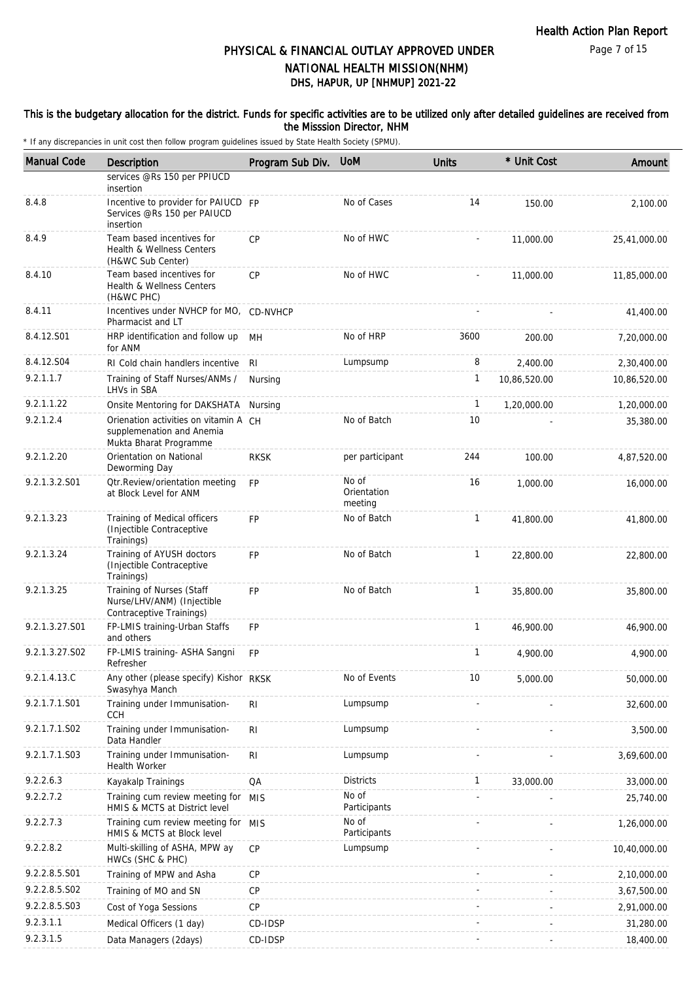#### This is the budgetary allocation for the district. Funds for specific activities are to be utilized only after detailed guidelines are received from the Misssion Director, NHM

| <b>Manual Code</b> | Description                                                                                  | Program Sub Div. | <b>UoM</b>                      | <b>Units</b> | * Unit Cost  | Amount       |
|--------------------|----------------------------------------------------------------------------------------------|------------------|---------------------------------|--------------|--------------|--------------|
|                    | services @Rs 150 per PPIUCD<br>insertion                                                     |                  |                                 |              |              |              |
| 8.4.8              | Incentive to provider for PAIUCD FP<br>Services @Rs 150 per PAIUCD<br>insertion              |                  | No of Cases                     | 14           | 150.00       | 2,100.00     |
| 8.4.9              | Team based incentives for<br>Health & Wellness Centers<br>(H&WC Sub Center)                  | <b>CP</b>        | No of HWC                       |              | 11,000.00    | 25,41,000.00 |
| 8.4.10             | Team based incentives for<br>Health & Wellness Centers<br>(H&WC PHC)                         | <b>CP</b>        | No of HWC                       |              | 11,000.00    | 11,85,000.00 |
| 8.4.11             | Incentives under NVHCP for MO, CD-NVHCP<br>Pharmacist and LT                                 |                  |                                 |              |              | 41,400.00    |
| 8.4.12.S01         | HRP identification and follow up<br>for ANM                                                  | MН               | No of HRP                       | 3600         | 200.00       | 7,20,000.00  |
| 8.4.12.S04         | RI Cold chain handlers incentive                                                             | RI               | Lumpsump                        | 8            | 2,400.00     | 2,30,400.00  |
| 9.2.1.1.7          | Training of Staff Nurses/ANMs /<br>LHVs in SBA                                               | Nursing          |                                 | 1            | 10,86,520.00 | 10,86,520.00 |
| 9.2.1.1.22         | Onsite Mentoring for DAKSHATA                                                                | Nursing          |                                 | $\mathbf{1}$ | 1,20,000.00  | 1,20,000.00  |
| 9.2.1.2.4          | Orienation activities on vitamin A CH<br>supplemenation and Anemia<br>Mukta Bharat Programme |                  | No of Batch                     | 10           |              | 35,380.00    |
| 9.2.1.2.20         | Orientation on National<br>Deworming Day                                                     | <b>RKSK</b>      | per participant                 | 244          | 100.00       | 4,87,520.00  |
| 9.2.1.3.2.S01      | <b>Qtr.Review/orientation meeting</b><br>at Block Level for ANM                              | <b>FP</b>        | No of<br>Orientation<br>meeting | 16           | 1,000.00     | 16,000.00    |
| 9.2.1.3.23         | Training of Medical officers<br>(Injectible Contraceptive<br>Trainings)                      | <b>FP</b>        | No of Batch                     | $\mathbf{1}$ | 41,800.00    | 41,800.00    |
| 9.2.1.3.24         | Training of AYUSH doctors<br>(Injectible Contraceptive<br>Trainings)                         | <b>FP</b>        | No of Batch                     | $\mathbf{1}$ | 22,800.00    | 22,800.00    |
| 9.2.1.3.25         | Training of Nurses (Staff<br>Nurse/LHV/ANM) (Injectible<br>Contraceptive Trainings)          | <b>FP</b>        | No of Batch                     | $\mathbf{1}$ | 35,800.00    | 35,800.00    |
| 9.2.1.3.27.S01     | FP-LMIS training-Urban Staffs<br>and others                                                  | <b>FP</b>        |                                 | $\mathbf{1}$ | 46,900.00    | 46,900.00    |
| 9.2.1.3.27.S02     | FP-LMIS training- ASHA Sangni<br>Refresher                                                   | <b>FP</b>        |                                 | 1            | 4,900.00     | 4,900.00     |
| 9.2.1.4.13.C       | Any other (please specify) Kishor RKSK<br>Swasyhya Manch                                     |                  | No of Events                    | 10           | 5,000.00     | 50,000.00    |
| 9.2.1.7.1.S01      | Training under Immunisation-<br><b>CCH</b>                                                   | R <sub>l</sub>   | Lumpsump                        |              |              | 32,600.00    |
| 9.2.1.7.1.S02      | Training under Immunisation-<br>Data Handler                                                 | R <sub>1</sub>   | Lumpsump                        |              |              | 3,500.00     |
| 9.2.1.7.1.S03      | Training under Immunisation-<br><b>Health Worker</b>                                         | <b>RI</b>        | Lumpsump                        |              |              | 3,69,600.00  |
| 9.2.2.6.3          | Kayakalp Trainings                                                                           | QA               | <b>Districts</b>                | 1            | 33,000.00    | 33,000.00    |
| 9.2.2.7.2          | Training cum review meeting for<br>HMIS & MCTS at District level                             | MIS              | No of<br>Participants           |              |              | 25,740.00    |
| 9.2.2.7.3          | Training cum review meeting for MIS<br>HMIS & MCTS at Block level                            |                  | No of<br>Participants           |              |              | 1,26,000.00  |
| 9.2.2.8.2          | Multi-skilling of ASHA, MPW ay<br>HWCs (SHC & PHC)                                           | CP               | Lumpsump                        |              |              | 10,40,000.00 |
| 9.2.2.8.5.S01      | Training of MPW and Asha                                                                     | CP               |                                 |              |              | 2,10,000.00  |
| 9.2.2.8.5.S02      | Training of MO and SN                                                                        | CP               |                                 |              |              | 3,67,500.00  |
| 9.2.2.8.5.S03      | Cost of Yoga Sessions                                                                        | CP               |                                 |              |              | 2,91,000.00  |
| 9.2.3.1.1          | Medical Officers (1 day)                                                                     | CD-IDSP          |                                 |              |              | 31,280.00    |
| 9.2.3.1.5          | Data Managers (2days)                                                                        | CD-IDSP          |                                 |              |              | 18,400.00    |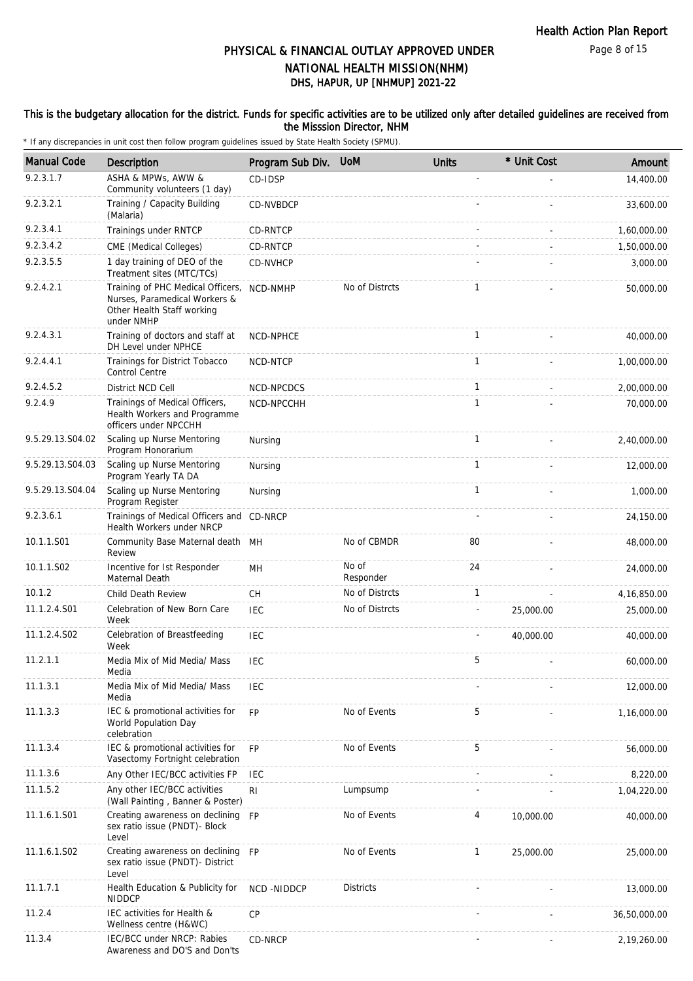#### This is the budgetary allocation for the district. Funds for specific activities are to be utilized only after detailed guidelines are received from the Misssion Director, NHM

| <b>Manual Code</b> | Description                                                                                                    | Program Sub Div. | <b>UoM</b>         | <b>Units</b>             | * Unit Cost | Amount       |
|--------------------|----------------------------------------------------------------------------------------------------------------|------------------|--------------------|--------------------------|-------------|--------------|
| 9.2.3.1.7          | ASHA & MPWs, AWW &<br>Community volunteers (1 day)                                                             | CD-IDSP          |                    |                          |             | 14,400.00    |
| 9.2.3.2.1          | Training / Capacity Building<br>(Malaria)                                                                      | CD-NVBDCP        |                    |                          |             | 33,600.00    |
| 9.2.3.4.1          | Trainings under RNTCP                                                                                          | CD-RNTCP         |                    |                          |             | 1,60,000.00  |
| 9.2.3.4.2          | CME (Medical Colleges)                                                                                         | CD-RNTCP         |                    |                          |             | 1,50,000.00  |
| 9.2.3.5.5          | 1 day training of DEO of the<br>Treatment sites (MTC/TCs)                                                      | CD-NVHCP         |                    |                          |             | 3,000.00     |
| 9.2.4.2.1          | Training of PHC Medical Officers,<br>Nurses, Paramedical Workers &<br>Other Health Staff working<br>under NMHP | NCD-NMHP         | No of Distrcts     | $\mathbf{1}$             |             | 50,000.00    |
| 9.2.4.3.1          | Training of doctors and staff at<br>DH Level under NPHCE                                                       | NCD-NPHCE        |                    | $\mathbf{1}$             |             | 40,000.00    |
| 9.2.4.4.1          | Trainings for District Tobacco<br>Control Centre                                                               | NCD-NTCP         |                    | $\mathbf{1}$             |             | 1,00,000.00  |
| 9.2.4.5.2          | District NCD Cell                                                                                              | NCD-NPCDCS       |                    | $\mathbf{1}$             |             | 2,00,000.00  |
| 9.2.4.9            | Trainings of Medical Officers,<br>Health Workers and Programme<br>officers under NPCCHH                        | NCD-NPCCHH       |                    | $\mathbf{1}$             |             | 70,000.00    |
| 9.5.29.13.S04.02   | Scaling up Nurse Mentoring<br>Program Honorarium                                                               | Nursing          |                    | 1                        |             | 2,40,000.00  |
| 9.5.29.13.S04.03   | Scaling up Nurse Mentoring<br>Program Yearly TA DA                                                             | Nursing          |                    | $\mathbf{1}$             |             | 12,000.00    |
| 9.5.29.13.S04.04   | Scaling up Nurse Mentoring<br>Program Register                                                                 | Nursing          |                    | $\mathbf{1}$             |             | 1,000.00     |
| 9.2.3.6.1          | Trainings of Medical Officers and CD-NRCP<br>Health Workers under NRCP                                         |                  |                    |                          |             | 24,150.00    |
| 10.1.1.S01         | Community Base Maternal death MH<br>Review                                                                     |                  | No of CBMDR        | 80                       |             | 48,000.00    |
| 10.1.1.S02         | Incentive for 1st Responder<br>Maternal Death                                                                  | MН               | No of<br>Responder | 24                       |             | 24,000.00    |
| 10.1.2             | Child Death Review                                                                                             | СH               | No of Distrcts     | 1                        |             | 4,16,850.00  |
| 11.1.2.4.S01       | Celebration of New Born Care<br>Week                                                                           | <b>IEC</b>       | No of Distrcts     | $\overline{\phantom{a}}$ | 25,000.00   | 25,000.00    |
| 11.1.2.4.S02       | Celebration of Breastfeeding<br>Week                                                                           | <b>IEC</b>       |                    |                          | 40,000.00   | 40,000.00    |
| 11.2.1.1           | Media Mix of Mid Media/ Mass<br>Media                                                                          | <b>IEC</b>       |                    | 5                        |             | 60,000.00    |
| 11.1.3.1           | Media Mix of Mid Media/ Mass<br>Media                                                                          | <b>IEC</b>       |                    |                          |             | 12,000.00    |
| 11.1.3.3           | IEC & promotional activities for<br>World Population Day<br>celebration                                        | <b>FP</b>        | No of Events       | 5                        |             | 1,16,000.00  |
| 11.1.3.4           | IEC & promotional activities for<br>Vasectomy Fortnight celebration                                            | <b>FP</b>        | No of Events       | 5                        |             | 56,000.00    |
| 11.1.3.6           | Any Other IEC/BCC activities FP                                                                                | <b>IEC</b>       |                    |                          |             | 8,220.00     |
| 11.1.5.2           | Any other IEC/BCC activities<br>(Wall Painting, Banner & Poster)                                               | RI               | Lumpsump           |                          |             | 1,04,220.00  |
| 11.1.6.1.S01       | Creating awareness on declining<br>sex ratio issue (PNDT)- Block<br>Level                                      | <b>FP</b>        | No of Events       | 4                        | 10,000.00   | 40,000.00    |
| 11.1.6.1.S02       | Creating awareness on declining<br>sex ratio issue (PNDT)- District<br>Level                                   | <b>FP</b>        | No of Events       | 1                        | 25,000.00   | 25,000.00    |
| 11.1.7.1           | Health Education & Publicity for<br><b>NIDDCP</b>                                                              | NCD-NIDDCP       | <b>Districts</b>   |                          |             | 13,000.00    |
| 11.2.4             | IEC activities for Health &<br>Wellness centre (H&WC)                                                          | CP               |                    |                          |             | 36,50,000.00 |
| 11.3.4             | IEC/BCC under NRCP: Rabies<br>Awareness and DO'S and Don'ts                                                    | CD-NRCP          |                    |                          |             | 2,19,260.00  |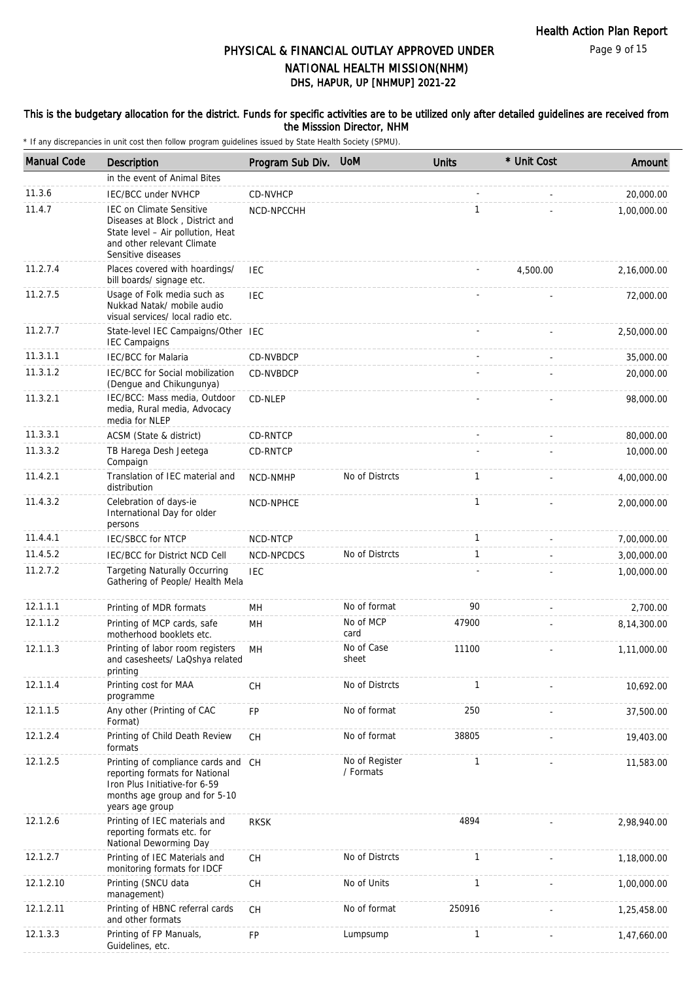#### This is the budgetary allocation for the district. Funds for specific activities are to be utilized only after detailed guidelines are received from the Misssion Director, NHM

| <b>Manual Code</b> | Description                                                                                                                                                 | Program Sub Div. | <b>UoM</b>                  | <b>Units</b> | * Unit Cost | Amount      |
|--------------------|-------------------------------------------------------------------------------------------------------------------------------------------------------------|------------------|-----------------------------|--------------|-------------|-------------|
|                    | in the event of Animal Bites                                                                                                                                |                  |                             |              |             |             |
| 11.3.6             | <b>IEC/BCC under NVHCP</b>                                                                                                                                  | CD-NVHCP         |                             |              |             | 20,000.00   |
| 11.4.7             | <b>IEC on Climate Sensitive</b><br>Diseases at Block, District and<br>State level - Air pollution, Heat<br>and other relevant Climate<br>Sensitive diseases | NCD-NPCCHH       |                             | $\mathbf{1}$ |             | 1,00,000.00 |
| 11.2.7.4           | Places covered with hoardings/<br>bill boards/ signage etc.                                                                                                 | <b>IEC</b>       |                             |              | 4,500.00    | 2,16,000.00 |
| 11.2.7.5           | Usage of Folk media such as<br>Nukkad Natak/ mobile audio<br>visual services/ local radio etc.                                                              | <b>IEC</b>       |                             |              |             | 72,000.00   |
| 11.2.7.7           | State-level IEC Campaigns/Other IEC<br><b>IEC Campaigns</b>                                                                                                 |                  |                             |              |             | 2,50,000.00 |
| 11.3.1.1           | <b>IEC/BCC</b> for Malaria                                                                                                                                  | CD-NVBDCP        |                             |              |             | 35,000.00   |
| 11.3.1.2           | <b>IEC/BCC for Social mobilization</b><br>(Dengue and Chikungunya)                                                                                          | CD-NVBDCP        |                             |              |             | 20,000.00   |
| 11.3.2.1           | IEC/BCC: Mass media, Outdoor<br>media, Rural media, Advocacy<br>media for NLEP                                                                              | CD-NLEP          |                             |              |             | 98,000.00   |
| 11.3.3.1           | ACSM (State & district)                                                                                                                                     | CD-RNTCP         |                             |              |             | 80,000.00   |
| 11.3.3.2           | TB Harega Desh Jeetega<br>Compaign                                                                                                                          | CD-RNTCP         |                             |              |             | 10,000.00   |
| 11.4.2.1           | Translation of IEC material and<br>distribution                                                                                                             | NCD-NMHP         | No of Distrcts              | $\mathbf{1}$ |             | 4,00,000.00 |
| 11.4.3.2           | Celebration of days-ie<br>International Day for older<br>persons                                                                                            | NCD-NPHCE        |                             | $\mathbf{1}$ |             | 2,00,000.00 |
| 11.4.4.1           | <b>IEC/SBCC for NTCP</b>                                                                                                                                    | NCD-NTCP         |                             | $\mathbf{1}$ |             | 7,00,000.00 |
| 11.4.5.2           | IEC/BCC for District NCD Cell                                                                                                                               | NCD-NPCDCS       | No of Distrcts              | $\mathbf{1}$ |             | 3,00,000.00 |
| 11.2.7.2           | <b>Targeting Naturally Occurring</b><br>Gathering of People/ Health Mela                                                                                    | <b>IEC</b>       |                             |              |             | 1,00,000.00 |
| 12.1.1.1           | Printing of MDR formats                                                                                                                                     | MН               | No of format                | 90           |             | 2,700.00    |
| 12.1.1.2           | Printing of MCP cards, safe<br>motherhood booklets etc.                                                                                                     | MН               | No of MCP<br>card           | 47900        |             | 8,14,300.00 |
| 12.1.1.3           | Printing of labor room registers<br>and casesheets/ LaQshya related<br>printing                                                                             | MH               | No of Case<br>sheet         | 11100        |             | 1,11,000.00 |
| 12.1.1.4           | Printing cost for MAA<br>programme                                                                                                                          | CH               | No of Distrcts              | 1            |             | 10,692.00   |
| 12.1.1.5           | Any other (Printing of CAC<br>Format)                                                                                                                       | FP               | No of format                | 250          |             | 37,500.00   |
| 12.1.2.4           | Printing of Child Death Review<br>formats                                                                                                                   | <b>CH</b>        | No of format                | 38805        |             | 19,403.00   |
| 12.1.2.5           | Printing of compliance cards and CH<br>reporting formats for National<br>Iron Plus Initiative-for 6-59<br>months age group and for 5-10<br>years age group  |                  | No of Register<br>/ Formats | $\mathbf{1}$ |             | 11,583.00   |
| 12.1.2.6           | Printing of IEC materials and<br>reporting formats etc. for<br>National Deworming Day                                                                       | <b>RKSK</b>      |                             | 4894         |             | 2,98,940.00 |
| 12.1.2.7           | Printing of IEC Materials and<br>monitoring formats for IDCF                                                                                                | CH               | No of Distrcts              | 1            |             | 1,18,000.00 |
| 12.1.2.10          | Printing (SNCU data<br>management)                                                                                                                          | CH               | No of Units                 | 1            |             | 1,00,000.00 |
| 12.1.2.11          | Printing of HBNC referral cards<br>and other formats                                                                                                        | CH               | No of format                | 250916       |             | 1,25,458.00 |
| 12.1.3.3           | Printing of FP Manuals,<br>Guidelines, etc.                                                                                                                 | FP               | Lumpsump                    | 1            |             | 1,47,660.00 |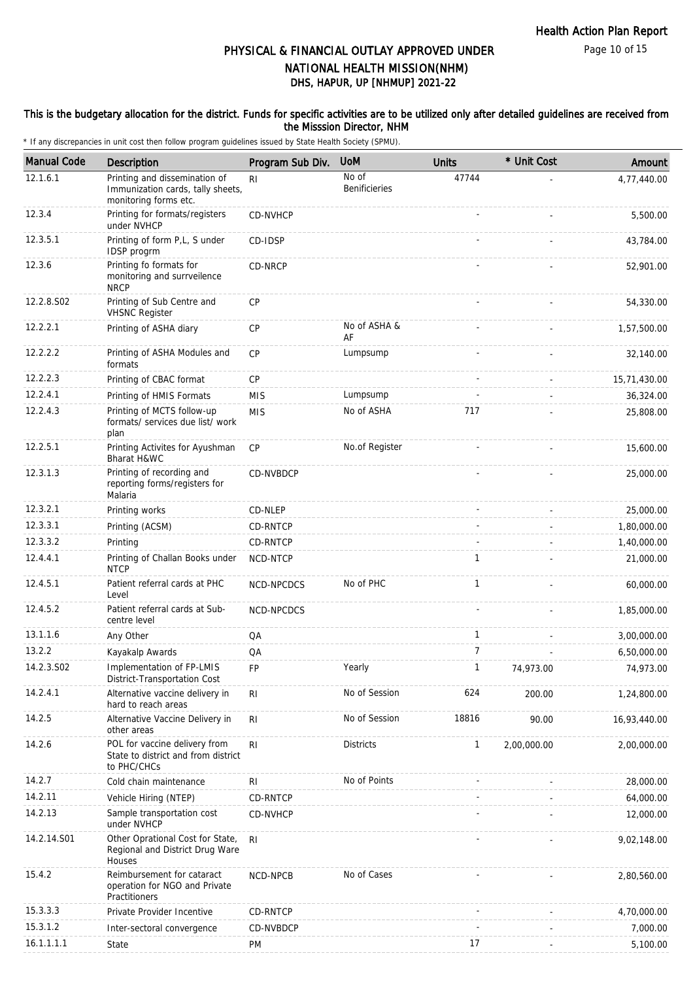Page 10 of 15

### DHS, HAPUR, UP [NHMUP] 2021-22 PHYSICAL & FINANCIAL OUTLAY APPROVED UNDER NATIONAL HEALTH MISSION(NHM)

#### This is the budgetary allocation for the district. Funds for specific activities are to be utilized only after detailed guidelines are received from the Misssion Director, NHM

| <b>Manual Code</b> | Description                                                                                 | Program Sub Div. | <b>UoM</b>                    | <b>Units</b>   | * Unit Cost | Amount       |
|--------------------|---------------------------------------------------------------------------------------------|------------------|-------------------------------|----------------|-------------|--------------|
| 12.1.6.1           | Printing and dissemination of<br>Immunization cards, tally sheets,<br>monitoring forms etc. | R <sub>l</sub>   | No of<br><b>Benificieries</b> | 47744          |             | 4,77,440.00  |
| 12.3.4             | Printing for formats/registers<br>under NVHCP                                               | CD-NVHCP         |                               |                |             | 5,500.00     |
| 12.3.5.1           | Printing of form P,L, S under<br><b>IDSP</b> progrm                                         | CD-IDSP          |                               |                |             | 43,784.00    |
| 12.3.6             | Printing fo formats for<br>monitoring and surrveilence<br><b>NRCP</b>                       | CD-NRCP          |                               |                |             | 52,901.00    |
| 12.2.8.S02         | Printing of Sub Centre and<br><b>VHSNC Register</b>                                         | <b>CP</b>        |                               |                |             | 54,330.00    |
| 12.2.2.1           | Printing of ASHA diary                                                                      | CP               | No of ASHA &<br>AF            |                |             | 1,57,500.00  |
| 12.2.2.2           | Printing of ASHA Modules and<br>formats                                                     | <b>CP</b>        | Lumpsump                      |                |             | 32,140.00    |
| 12.2.2.3           | Printing of CBAC format                                                                     | CP               |                               |                |             | 15,71,430.00 |
| 12.2.4.1           | Printing of HMIS Formats                                                                    | <b>MIS</b>       | Lumpsump                      |                |             | 36,324.00    |
| 12.2.4.3           | Printing of MCTS follow-up<br>formats/ services due list/ work<br>plan                      | <b>MIS</b>       | No of ASHA                    | 717            |             | 25,808.00    |
| 12.2.5.1           | Printing Activites for Ayushman<br>Bharat H&WC                                              | <b>CP</b>        | No.of Register                |                |             | 15,600.00    |
| 12.3.1.3           | Printing of recording and<br>reporting forms/registers for<br>Malaria                       | CD-NVBDCP        |                               |                |             | 25,000.00    |
| 12.3.2.1           | Printing works                                                                              | CD-NLEP          |                               |                |             | 25,000.00    |
| 12.3.3.1           | Printing (ACSM)                                                                             | CD-RNTCP         |                               |                |             | 1,80,000.00  |
| 12.3.3.2           | Printing                                                                                    | CD-RNTCP         |                               |                |             | 1,40,000.00  |
| 12.4.4.1           | Printing of Challan Books under<br><b>NTCP</b>                                              | NCD-NTCP         |                               | 1              |             | 21,000.00    |
| 12.4.5.1           | Patient referral cards at PHC<br>Level                                                      | NCD-NPCDCS       | No of PHC                     | $\mathbf{1}$   |             | 60,000.00    |
| 12.4.5.2           | Patient referral cards at Sub-<br>centre level                                              | NCD-NPCDCS       |                               |                |             | 1,85,000.00  |
| 13.1.1.6           | Any Other                                                                                   | QA               |                               | $\mathbf{1}$   |             | 3,00,000.00  |
| 13.2.2             | Kayakalp Awards                                                                             | QA               |                               | $\overline{7}$ |             | 6,50,000.00  |
| 14.2.3.S02         | Implementation of FP-LMIS<br>District-Transportation Cost                                   | FP               | Yearly                        | $\mathbf{1}$   | 74,973.00   | 74,973.00    |
| 14.2.4.1           | Alternative vaccine delivery in<br>hard to reach areas                                      | RI               | No of Session                 | 624            | 200.00      | 1,24,800.00  |
| 14.2.5             | Alternative Vaccine Delivery in<br>other areas                                              | R <sub>1</sub>   | No of Session                 | 18816          | 90.00       | 16,93,440.00 |
| 14.2.6             | POL for vaccine delivery from<br>State to district and from district<br>to PHC/CHCs         | R <sub>l</sub>   | <b>Districts</b>              | 1              | 2,00,000.00 | 2,00,000.00  |
| 14.2.7             | Cold chain maintenance                                                                      | RI               | No of Points                  |                |             | 28,000.00    |
| 14.2.11            | Vehicle Hiring (NTEP)                                                                       | CD-RNTCP         |                               |                |             | 64,000.00    |
| 14.2.13            | Sample transportation cost<br>under NVHCP                                                   | CD-NVHCP         |                               |                |             | 12,000.00    |
| 14.2.14.S01        | Other Oprational Cost for State,<br>Regional and District Drug Ware<br>Houses               | RI.              |                               |                |             | 9,02,148.00  |
| 15.4.2             | Reimbursement for cataract<br>operation for NGO and Private<br>Practitioners                | NCD-NPCB         | No of Cases                   |                |             | 2,80,560.00  |
| 15.3.3.3           | Private Provider Incentive                                                                  | CD-RNTCP         |                               |                |             | 4,70,000.00  |
| 15.3.1.2           | Inter-sectoral convergence                                                                  | CD-NVBDCP        |                               |                |             | 7,000.00     |
| 16.1.1.1.1         | State                                                                                       | <b>PM</b>        |                               | 17             |             | 5,100.00     |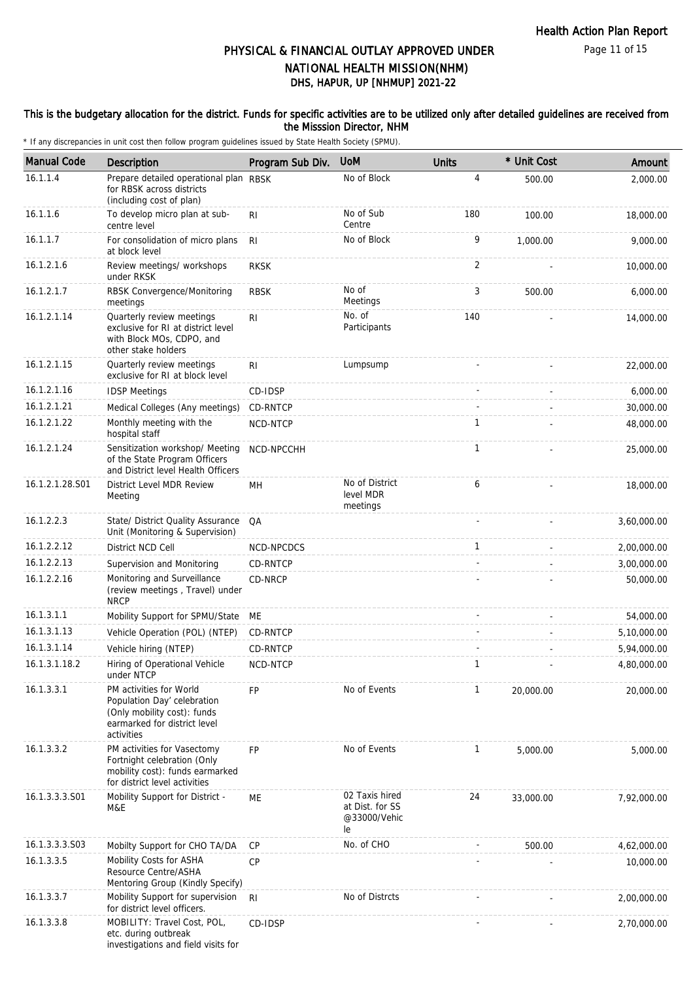#### This is the budgetary allocation for the district. Funds for specific activities are to be utilized only after detailed guidelines are received from the Misssion Director, NHM

| <b>Manual Code</b> | Description                                                                                                                         | Program Sub Div. | <b>UoM</b>                                              | <b>Units</b> | * Unit Cost | Amount      |
|--------------------|-------------------------------------------------------------------------------------------------------------------------------------|------------------|---------------------------------------------------------|--------------|-------------|-------------|
| 16.1.1.4           | Prepare detailed operational plan RBSK<br>for RBSK across districts<br>(including cost of plan)                                     |                  | No of Block                                             | 4            | 500.00      | 2,000.00    |
| 16.1.1.6           | To develop micro plan at sub-<br>centre level                                                                                       | RI               | No of Sub<br>Centre                                     | 180          | 100.00      | 18,000.00   |
| 16.1.1.7           | For consolidation of micro plans<br>at block level                                                                                  | RI.              | No of Block                                             | 9            | 1,000.00    | 9,000.00    |
| 16.1.2.1.6         | Review meetings/ workshops<br>under RKSK                                                                                            | <b>RKSK</b>      |                                                         | 2            |             | 10,000.00   |
| 16.1.2.1.7         | RBSK Convergence/Monitoring<br>meetings                                                                                             | <b>RBSK</b>      | No of<br>Meetings                                       | 3            | 500.00      | 6,000.00    |
| 16.1.2.1.14        | Quarterly review meetings<br>exclusive for RI at district level<br>with Block MOs, CDPO, and<br>other stake holders                 | R <sub>l</sub>   | No. of<br>Participants                                  | 140          |             | 14,000.00   |
| 16.1.2.1.15        | Quarterly review meetings<br>exclusive for RI at block level                                                                        | R <sub>l</sub>   | Lumpsump                                                |              |             | 22,000.00   |
| 16.1.2.1.16        | <b>IDSP Meetings</b>                                                                                                                | CD-IDSP          |                                                         |              |             | 6,000.00    |
| 16.1.2.1.21        | Medical Colleges (Any meetings)                                                                                                     | CD-RNTCP         |                                                         |              |             | 30,000.00   |
| 16.1.2.1.22        | Monthly meeting with the<br>hospital staff                                                                                          | NCD-NTCP         |                                                         | $\mathbf{1}$ |             | 48,000.00   |
| 16.1.2.1.24        | Sensitization workshop/ Meeting<br>of the State Program Officers<br>and District level Health Officers                              | NCD-NPCCHH       |                                                         | $\mathbf{1}$ |             | 25,000.00   |
| 16.1.2.1.28.S01    | District Level MDR Review<br>Meeting                                                                                                | MН               | No of District<br>level MDR<br>meetings                 | 6            |             | 18,000.00   |
| 16.1.2.2.3         | State/ District Quality Assurance<br>Unit (Monitoring & Supervision)                                                                | QA               |                                                         |              |             | 3,60,000.00 |
| 16.1.2.2.12        | District NCD Cell                                                                                                                   | NCD-NPCDCS       |                                                         | $\mathbf{1}$ |             | 2,00,000.00 |
| 16.1.2.2.13        | Supervision and Monitoring                                                                                                          | CD-RNTCP         |                                                         |              |             | 3,00,000.00 |
| 16.1.2.2.16        | Monitoring and Surveillance<br>(review meetings, Travel) under<br><b>NRCP</b>                                                       | CD-NRCP          |                                                         |              |             | 50,000.00   |
| 16.1.3.1.1         | Mobility Support for SPMU/State                                                                                                     | МE               |                                                         |              |             | 54,000.00   |
| 16.1.3.1.13        | Vehicle Operation (POL) (NTEP)                                                                                                      | CD-RNTCP         |                                                         |              |             | 5,10,000.00 |
| 16.1.3.1.14        | Vehicle hiring (NTEP)                                                                                                               | CD-RNTCP         |                                                         |              |             | 5,94,000.00 |
| 16.1.3.1.18.2      | Hiring of Operational Vehicle<br>under NTCP                                                                                         | NCD-NTCP         |                                                         | 1            |             | 4,80,000.00 |
| 16.1.3.3.1         | PM activities for World<br>Population Day' celebration<br>(Only mobility cost): funds<br>earmarked for district level<br>activities | FP               | No of Events                                            | $\mathbf{1}$ | 20,000.00   | 20,000.00   |
| 16.1.3.3.2         | PM activities for Vasectomy<br>Fortnight celebration (Only<br>mobility cost): funds earmarked<br>for district level activities      | <b>FP</b>        | No of Events                                            | 1            | 5,000.00    | 5,000.00    |
| 16.1.3.3.3.S01     | Mobility Support for District -<br>M&E                                                                                              | МE               | 02 Taxis hired<br>at Dist. for SS<br>@33000/Vehic<br>le | 24           | 33,000.00   | 7,92,000.00 |
| 16.1.3.3.3.S03     | Mobilty Support for CHO TA/DA                                                                                                       | CP               | No. of CHO                                              |              | 500.00      | 4,62,000.00 |
| 16.1.3.3.5         | Mobility Costs for ASHA<br>Resource Centre/ASHA<br>Mentoring Group (Kindly Specify)                                                 | <b>CP</b>        |                                                         |              |             | 10,000.00   |
| 16.1.3.3.7         | Mobility Support for supervision<br>for district level officers.                                                                    | R <sub>l</sub>   | No of Distrcts                                          |              |             | 2,00,000.00 |
| 16.1.3.3.8         | MOBILITY: Travel Cost, POL,<br>etc. during outbreak<br>investigations and field visits for                                          | CD-IDSP          |                                                         |              |             | 2,70,000.00 |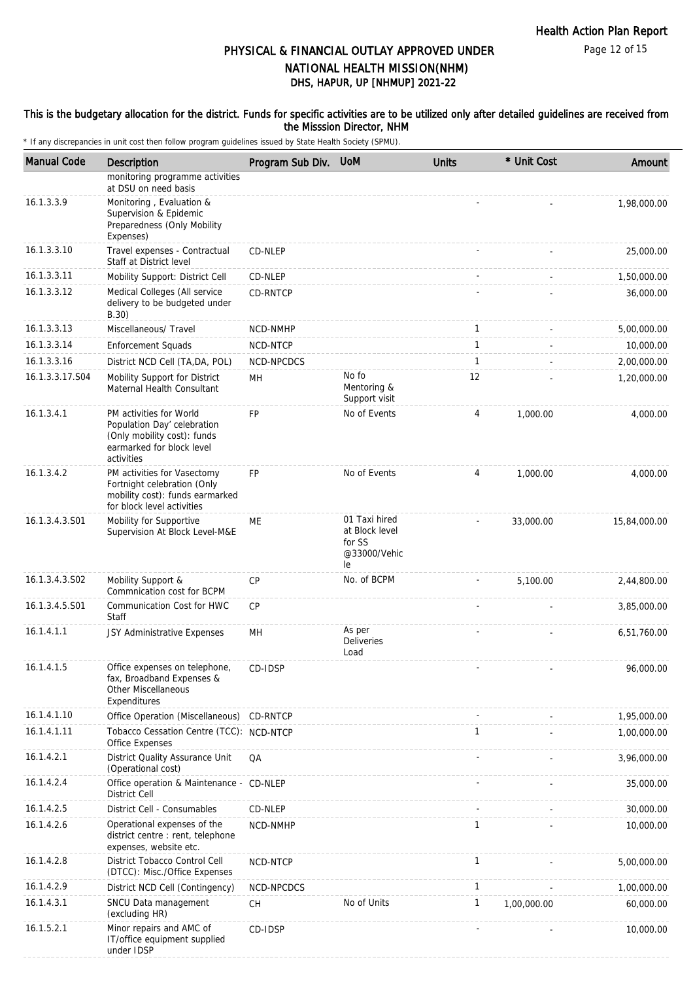Page 12 of 15

### DHS, HAPUR, UP [NHMUP] 2021-22 PHYSICAL & FINANCIAL OUTLAY APPROVED UNDER NATIONAL HEALTH MISSION(NHM)

#### This is the budgetary allocation for the district. Funds for specific activities are to be utilized only after detailed guidelines are received from the Misssion Director, NHM

| <b>Manual Code</b> | Description                                                                                                                      | Program Sub Div. UoM |                                                                 | <b>Units</b> | * Unit Cost | Amount       |
|--------------------|----------------------------------------------------------------------------------------------------------------------------------|----------------------|-----------------------------------------------------------------|--------------|-------------|--------------|
|                    | monitoring programme activities<br>at DSU on need basis                                                                          |                      |                                                                 |              |             |              |
| 16.1.3.3.9         | Monitoring, Evaluation &<br>Supervision & Epidemic<br>Preparedness (Only Mobility<br>Expenses)                                   |                      |                                                                 |              |             | 1,98,000.00  |
| 16.1.3.3.10        | Travel expenses - Contractual<br>Staff at District level                                                                         | CD-NLEP              |                                                                 |              |             | 25,000.00    |
| 16.1.3.3.11        | Mobility Support: District Cell                                                                                                  | CD-NLEP              |                                                                 |              |             | 1,50,000.00  |
| 16.1.3.3.12        | Medical Colleges (All service<br>delivery to be budgeted under<br>B.30)                                                          | CD-RNTCP             |                                                                 |              |             | 36,000.00    |
| 16.1.3.3.13        | Miscellaneous/ Travel                                                                                                            | NCD-NMHP             |                                                                 | $\mathbf{1}$ |             | 5,00,000.00  |
| 16.1.3.3.14        | <b>Enforcement Squads</b>                                                                                                        | NCD-NTCP             |                                                                 | $\mathbf{1}$ |             | 10,000.00    |
| 16.1.3.3.16        | District NCD Cell (TA, DA, POL)                                                                                                  | NCD-NPCDCS           |                                                                 | $\mathbf{1}$ |             | 2,00,000.00  |
| 16.1.3.3.17.S04    | Mobility Support for District<br>Maternal Health Consultant                                                                      | MН                   | No fo<br>Mentoring &<br>Support visit                           | 12           |             | 1,20,000.00  |
| 16.1.3.4.1         | PM activities for World<br>Population Day' celebration<br>(Only mobility cost): funds<br>earmarked for block level<br>activities | <b>FP</b>            | No of Events                                                    | 4            | 1.000.00    | 4,000.00     |
| 16.1.3.4.2         | PM activities for Vasectomy<br>Fortnight celebration (Only<br>mobility cost): funds earmarked<br>for block level activities      | <b>FP</b>            | No of Events                                                    | 4            | 1,000.00    | 4,000.00     |
| 16.1.3.4.3.S01     | Mobility for Supportive<br>Supervision At Block Level-M&E                                                                        | ME                   | 01 Taxi hired<br>at Block level<br>for SS<br>@33000/Vehic<br>le |              | 33,000.00   | 15,84,000.00 |
| 16.1.3.4.3.S02     | Mobility Support &<br>Commnication cost for BCPM                                                                                 | CP                   | No. of BCPM                                                     |              | 5,100.00    | 2,44,800.00  |
| 16.1.3.4.5.S01     | Communication Cost for HWC<br>Staff                                                                                              | <b>CP</b>            |                                                                 |              |             | 3,85,000.00  |
| 16.1.4.1.1         | JSY Administrative Expenses                                                                                                      | MН                   | As per<br><b>Deliveries</b><br>Load                             |              |             | 6,51,760.00  |
| 16.1.4.1.5         | Office expenses on telephone,<br>fax, Broadband Expenses &<br><b>Other Miscellaneous</b><br>Expenditures                         | CD-IDSP              |                                                                 |              |             | 96,000.00    |
| 16.1.4.1.10        | Office Operation (Miscellaneous) CD-RNTCP                                                                                        |                      |                                                                 |              |             | 1,95,000.00  |
| 16.1.4.1.11        | Tobacco Cessation Centre (TCC): NCD-NTCP<br>Office Expenses                                                                      |                      |                                                                 | $\mathbf{1}$ |             | 1,00,000.00  |
| 16.1.4.2.1         | District Quality Assurance Unit<br>(Operational cost)                                                                            | QA                   |                                                                 |              |             | 3,96,000.00  |
| 16.1.4.2.4         | Office operation & Maintenance - CD-NLEP<br>District Cell                                                                        |                      |                                                                 |              |             | 35,000.00    |
| 16.1.4.2.5         | District Cell - Consumables                                                                                                      | CD-NLEP              |                                                                 |              |             | 30,000.00    |
| 16.1.4.2.6         | Operational expenses of the<br>district centre : rent, telephone<br>expenses, website etc.                                       | NCD-NMHP             |                                                                 | $\mathbf{1}$ |             | 10,000.00    |
| 16.1.4.2.8         | District Tobacco Control Cell<br>(DTCC): Misc./Office Expenses                                                                   | NCD-NTCP             |                                                                 | $\mathbf{1}$ |             | 5,00,000.00  |
| 16.1.4.2.9         | District NCD Cell (Contingency)                                                                                                  | NCD-NPCDCS           |                                                                 | 1            |             | 1,00,000.00  |
| 16.1.4.3.1         | SNCU Data management<br>(excluding HR)                                                                                           | <b>CH</b>            | No of Units                                                     | $\mathbf{1}$ | 1,00,000.00 | 60,000.00    |
| 16.1.5.2.1         | Minor repairs and AMC of<br>IT/office equipment supplied<br>under IDSP                                                           | CD-IDSP              |                                                                 |              |             | 10,000.00    |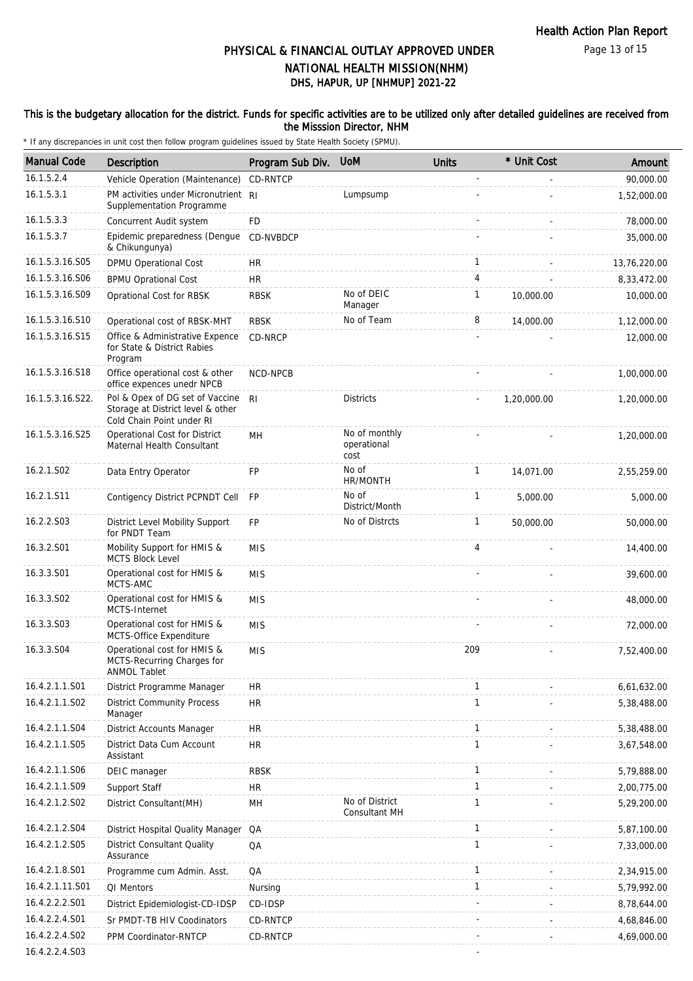#### This is the budgetary allocation for the district. Funds for specific activities are to be utilized only after detailed guidelines are received from the Misssion Director, NHM

| <b>Manual Code</b> | Description                                                                                       | Program Sub Div. | <b>UoM</b>                           | <b>Units</b> | * Unit Cost | Amount       |
|--------------------|---------------------------------------------------------------------------------------------------|------------------|--------------------------------------|--------------|-------------|--------------|
| 16.1.5.2.4         | Vehicle Operation (Maintenance)                                                                   | CD-RNTCP         |                                      |              |             | 90,000.00    |
| 16.1.5.3.1         | PM activities under Micronutrient RI<br>Supplementation Programme                                 |                  | Lumpsump                             |              |             | 1,52,000.00  |
| 16.1.5.3.3         | Concurrent Audit system                                                                           | FD               |                                      |              |             | 78,000.00    |
| 16.1.5.3.7         | Epidemic preparedness (Dengue<br>& Chikungunya)                                                   | CD-NVBDCP        |                                      |              |             | 35,000.00    |
| 16.1.5.3.16.S05    | DPMU Operational Cost                                                                             | <b>HR</b>        |                                      | $\mathbf{1}$ |             | 13,76,220.00 |
| 16.1.5.3.16.S06    | <b>BPMU Oprational Cost</b>                                                                       | HR               |                                      | 4            |             | 8,33,472.00  |
| 16.1.5.3.16.S09    | Oprational Cost for RBSK                                                                          | <b>RBSK</b>      | No of DEIC<br>Manager                | $\mathbf{1}$ | 10,000.00   | 10,000.00    |
| 16.1.5.3.16.S10    | Operational cost of RBSK-MHT                                                                      | <b>RBSK</b>      | No of Team                           | 8            | 14,000.00   | 1,12,000.00  |
| 16.1.5.3.16.S15    | Office & Administrative Expence<br>for State & District Rabies<br>Program                         | CD-NRCP          |                                      |              |             | 12,000.00    |
| 16.1.5.3.16.S18    | Office operational cost & other<br>office expences unedr NPCB                                     | NCD-NPCB         |                                      |              |             | 1,00,000.00  |
| 16.1.5.3.16.S22.   | Pol & Opex of DG set of Vaccine<br>Storage at District level & other<br>Cold Chain Point under RI | R <sub>l</sub>   | <b>Districts</b>                     |              | 1,20,000.00 | 1,20,000.00  |
| 16.1.5.3.16.S25    | Operational Cost for District<br>Maternal Health Consultant                                       | MH               | No of monthly<br>operational<br>cost |              |             | 1,20,000.00  |
| 16.2.1.S02         | Data Entry Operator                                                                               | <b>FP</b>        | No of<br>HR/MONTH                    | $\mathbf{1}$ | 14,071.00   | 2,55,259.00  |
| 16.2.1.S11         | Contigency District PCPNDT Cell                                                                   | <b>FP</b>        | No of<br>District/Month              | $\mathbf{1}$ | 5,000.00    | 5,000.00     |
| 16.2.2.S03         | District Level Mobility Support<br>for PNDT Team                                                  | <b>FP</b>        | No of Distrcts                       | 1            | 50,000.00   | 50,000.00    |
| 16.3.2.S01         | Mobility Support for HMIS &<br><b>MCTS Block Level</b>                                            | <b>MIS</b>       |                                      | 4            |             | 14,400.00    |
| 16.3.3.S01         | Operational cost for HMIS &<br>MCTS-AMC                                                           | <b>MIS</b>       |                                      |              |             | 39,600.00    |
| 16.3.3.S02         | Operational cost for HMIS &<br>MCTS-Internet                                                      | <b>MIS</b>       |                                      |              |             | 48,000.00    |
| 16.3.3.S03         | Operational cost for HMIS &<br>MCTS-Office Expenditure                                            | <b>MIS</b>       |                                      |              |             | 72,000.00    |
| 16.3.3.S04         | Operational cost for HMIS &<br>MCTS-Recurring Charges for<br><b>ANMOL Tablet</b>                  | <b>MIS</b>       |                                      | 209          |             | 7,52,400.00  |
| 16.4.2.1.1.S01     | District Programme Manager                                                                        | <b>HR</b>        |                                      | $\mathbf{1}$ |             | 6,61,632.00  |
| 16.4.2.1.1.S02     | <b>District Community Process</b><br>Manager                                                      | <b>HR</b>        |                                      | $\mathbf{1}$ |             | 5,38,488.00  |
| 16.4.2.1.1.S04     | District Accounts Manager                                                                         | <b>HR</b>        |                                      | $\mathbf{1}$ |             | 5,38,488.00  |
| 16.4.2.1.1.S05     | District Data Cum Account<br>Assistant                                                            | <b>HR</b>        |                                      | $\mathbf{1}$ |             | 3,67,548.00  |
| 16.4.2.1.1.S06     | DEIC manager                                                                                      | <b>RBSK</b>      |                                      | $\mathbf{1}$ |             | 5,79,888.00  |
| 16.4.2.1.1.S09     | Support Staff                                                                                     | <b>HR</b>        |                                      | $\mathbf{1}$ |             | 2,00,775.00  |
| 16.4.2.1.2.S02     | District Consultant(MH)                                                                           | MH               | No of District<br>Consultant MH      | 1            |             | 5,29,200.00  |
| 16.4.2.1.2.S04     | District Hospital Quality Manager                                                                 | QA               |                                      | $\mathbf{1}$ |             | 5,87,100.00  |
| 16.4.2.1.2.S05     | <b>District Consultant Quality</b><br>Assurance                                                   | QA               |                                      | $\mathbf{1}$ |             | 7,33,000.00  |
| 16.4.2.1.8.S01     | Programme cum Admin. Asst.                                                                        | QA               |                                      | $\mathbf{1}$ |             | 2,34,915.00  |
| 16.4.2.1.11.S01    | QI Mentors                                                                                        | Nursing          |                                      | 1            |             | 5,79,992.00  |
| 16.4.2.2.2.S01     | District Epidemiologist-CD-IDSP                                                                   | CD-IDSP          |                                      |              |             | 8,78,644.00  |
| 16.4.2.2.4.S01     | Sr PMDT-TB HIV Coodinators                                                                        | CD-RNTCP         |                                      |              |             | 4,68,846.00  |
| 16.4.2.2.4.S02     | PPM Coordinator-RNTCP                                                                             | CD-RNTCP         |                                      |              |             | 4,69,000.00  |
| 16.4.2.2.4.S03     |                                                                                                   |                  |                                      |              |             |              |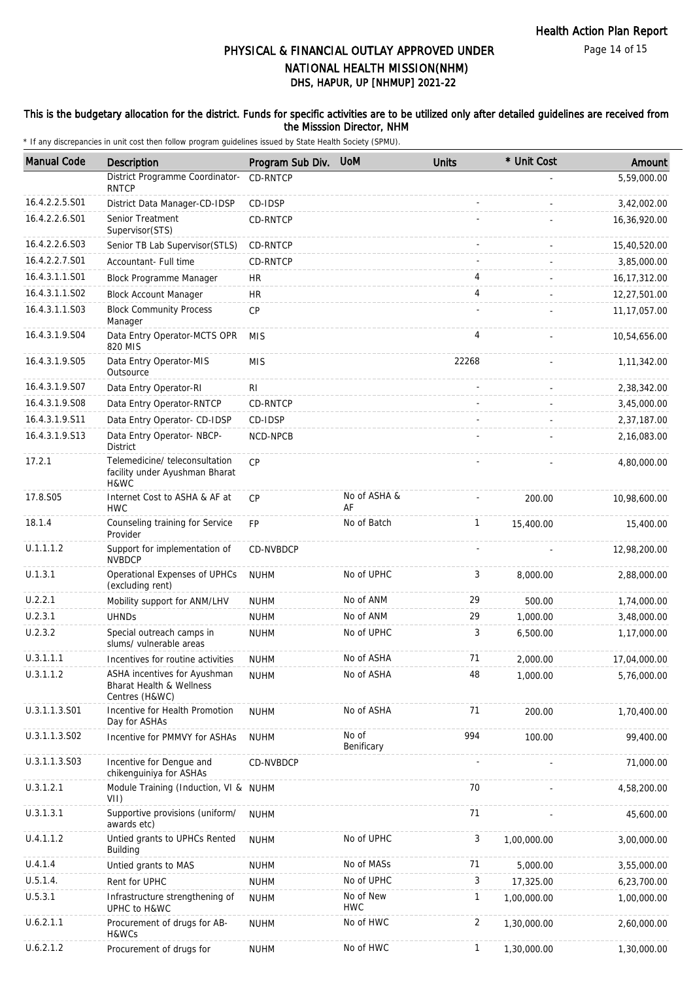Page 14 of 15

# DHS, HAPUR, UP [NHMUP] 2021-22 PHYSICAL & FINANCIAL OUTLAY APPROVED UNDER NATIONAL HEALTH MISSION(NHM)

#### This is the budgetary allocation for the district. Funds for specific activities are to be utilized only after detailed guidelines are received from the Misssion Director, NHM

| <b>Manual Code</b> | Description                                                                | Program Sub Div. | <b>UoM</b>              | <b>Units</b> | * Unit Cost | Amount         |
|--------------------|----------------------------------------------------------------------------|------------------|-------------------------|--------------|-------------|----------------|
|                    | District Programme Coordinator-<br><b>RNTCP</b>                            | <b>CD-RNTCP</b>  |                         |              |             | 5,59,000.00    |
| 16.4.2.2.5.S01     | District Data Manager-CD-IDSP                                              | CD-IDSP          |                         |              |             | 3,42,002.00    |
| 16.4.2.2.6.S01     | Senior Treatment<br>Supervisor(STS)                                        | CD-RNTCP         |                         |              |             | 16,36,920.00   |
| 16.4.2.2.6.S03     | Senior TB Lab Supervisor (STLS)                                            | CD-RNTCP         |                         |              |             | 15,40,520.00   |
| 16.4.2.2.7.S01     | Accountant- Full time                                                      | CD-RNTCP         |                         |              |             | 3,85,000.00    |
| 16.4.3.1.1.S01     | Block Programme Manager                                                    | HR               |                         | 4            |             | 16, 17, 312.00 |
| 16.4.3.1.1.S02     | <b>Block Account Manager</b>                                               | <b>HR</b>        |                         | 4            |             | 12,27,501.00   |
| 16.4.3.1.1.S03     | <b>Block Community Process</b><br>Manager                                  | CP               |                         |              |             | 11, 17, 057.00 |
| 16.4.3.1.9.S04     | Data Entry Operator-MCTS OPR<br>820 MIS                                    | <b>MIS</b>       |                         | 4            |             | 10,54,656.00   |
| 16.4.3.1.9.S05     | Data Entry Operator-MIS<br>Outsource                                       | <b>MIS</b>       |                         | 22268        |             | 1,11,342.00    |
| 16.4.3.1.9.S07     | Data Entry Operator-RI                                                     | RI               |                         |              |             | 2,38,342.00    |
| 16.4.3.1.9.S08     | Data Entry Operator-RNTCP                                                  | CD-RNTCP         |                         |              |             | 3,45,000.00    |
| 16.4.3.1.9.S11     | Data Entry Operator- CD-IDSP                                               | CD-IDSP          |                         |              |             | 2,37,187.00    |
| 16.4.3.1.9.S13     | Data Entry Operator- NBCP-<br><b>District</b>                              | NCD-NPCB         |                         |              |             | 2,16,083.00    |
| 17.2.1             | Telemedicine/teleconsultation<br>facility under Ayushman Bharat<br>H&WC    | CP               |                         |              |             | 4,80,000.00    |
| 17.8.S05           | Internet Cost to ASHA & AF at<br><b>HWC</b>                                | <b>CP</b>        | No of ASHA &<br>AF      |              | 200.00      | 10,98,600.00   |
| 18.1.4             | Counseling training for Service<br>Provider                                | <b>FP</b>        | No of Batch             | 1            | 15,400.00   | 15,400.00      |
| U.1.1.1.2          | Support for implementation of<br><b>NVBDCP</b>                             | CD-NVBDCP        |                         |              |             | 12,98,200.00   |
| U.1.3.1            | Operational Expenses of UPHCs<br>(excluding rent)                          | <b>NUHM</b>      | No of UPHC              | 3            | 8,000.00    | 2,88,000.00    |
| U.2.2.1            | Mobility support for ANM/LHV                                               | <b>NUHM</b>      | No of ANM               | 29           | 500.00      | 1,74,000.00    |
| U.2.3.1            | <b>UHNDs</b>                                                               | <b>NUHM</b>      | No of ANM               | 29           | 1.000.00    | 3,48,000.00    |
| U.2.3.2            | Special outreach camps in<br>slums/ vulnerable areas                       | <b>NUHM</b>      | No of UPHC              | 3            | 6,500.00    | 1,17,000.00    |
| U.3.1.1.1          | Incentives for routine activities                                          | <b>NUHM</b>      | No of ASHA              | 71           | 2.000.00    | 17,04,000.00   |
| U.3.1.1.2          | ASHA incentives for Ayushman<br>Bharat Health & Wellness<br>Centres (H&WC) | <b>NUHM</b>      | No of ASHA              | 48           | 1,000.00    | 5,76,000.00    |
| U.3.1.1.3.S01      | Incentive for Health Promotion<br>Day for ASHAs                            | <b>NUHM</b>      | No of ASHA              | 71           | 200.00      | 1,70,400.00    |
| U.3.1.1.3.S02      | Incentive for PMMVY for ASHAs                                              | <b>NUHM</b>      | No of<br>Benificary     | 994          | 100.00      | 99,400.00      |
| U.3.1.1.3.S03      | Incentive for Dengue and<br>chikenguiniya for ASHAs                        | CD-NVBDCP        |                         |              |             | 71,000.00      |
| U.3.1.2.1          | Module Training (Induction, VI & NUHM<br>VII)                              |                  |                         | 70           |             | 4,58,200.00    |
| U.3.1.3.1          | Supportive provisions (uniform/<br>awards etc)                             | <b>NUHM</b>      |                         | 71           |             | 45,600.00      |
| U.4.1.1.2          | Untied grants to UPHCs Rented<br>Building                                  | <b>NUHM</b>      | No of UPHC              | 3            | 1,00,000.00 | 3,00,000.00    |
| U.4.1.4            | Untied grants to MAS                                                       | <b>NUHM</b>      | No of MASs              | 71           | 5,000.00    | 3,55,000.00    |
| U.5.1.4.           | Rent for UPHC                                                              | <b>NUHM</b>      | No of UPHC              | 3            | 17,325.00   | 6,23,700.00    |
| U.5.3.1            | Infrastructure strengthening of<br>UPHC to H&WC                            | <b>NUHM</b>      | No of New<br><b>HWC</b> | 1            | 1,00,000.00 | 1,00,000.00    |
| U.6.2.1.1          | Procurement of drugs for AB-<br>H&WCs                                      | <b>NUHM</b>      | No of HWC               | 2            | 1,30,000.00 | 2,60,000.00    |
| U.6.2.1.2          | Procurement of drugs for                                                   | <b>NUHM</b>      | No of HWC               | 1            | 1,30,000.00 | 1,30,000.00    |